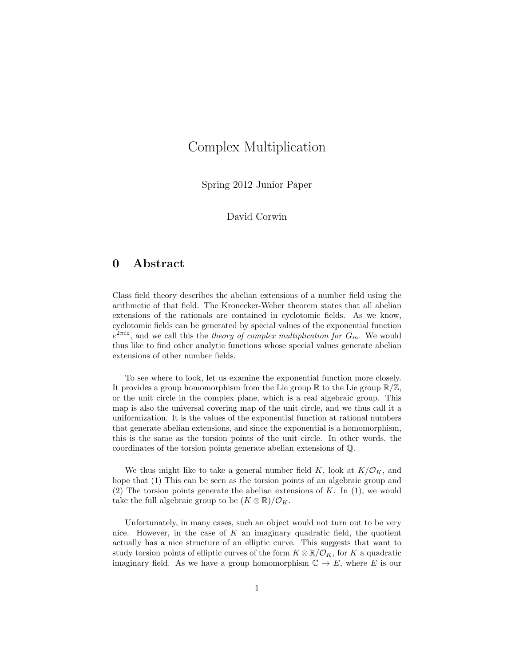# Complex Multiplication

Spring 2012 Junior Paper

David Corwin

# 0 Abstract

Class field theory describes the abelian extensions of a number field using the arithmetic of that field. The Kronecker-Weber theorem states that all abelian extensions of the rationals are contained in cyclotomic fields. As we know, cyclotomic fields can be generated by special values of the exponential function  $e^{2\pi i z}$ , and we call this the theory of complex multiplication for  $G_m$ . We would thus like to find other analytic functions whose special values generate abelian extensions of other number fields.

To see where to look, let us examine the exponential function more closely. It provides a group homomorphism from the Lie group  $\mathbb{R} \times \mathbb{Z}$ , or the unit circle in the complex plane, which is a real algebraic group. This map is also the universal covering map of the unit circle, and we thus call it a uniformization. It is the values of the exponential function at rational numbers that generate abelian extensions, and since the exponential is a homomorphism, this is the same as the torsion points of the unit circle. In other words, the coordinates of the torsion points generate abelian extensions of Q.

We thus might like to take a general number field K, look at  $K/\mathcal{O}_K$ , and hope that (1) This can be seen as the torsion points of an algebraic group and (2) The torsion points generate the abelian extensions of  $K$ . In (1), we would take the full algebraic group to be  $(K \otimes \mathbb{R})/\mathcal{O}_K$ .

Unfortunately, in many cases, such an object would not turn out to be very nice. However, in the case of  $K$  an imaginary quadratic field, the quotient actually has a nice structure of an elliptic curve. This suggests that want to study torsion points of elliptic curves of the form  $K \otimes \mathbb{R}/\mathcal{O}_K$ , for K a quadratic imaginary field. As we have a group homomorphism  $\mathbb{C} \to E$ , where E is our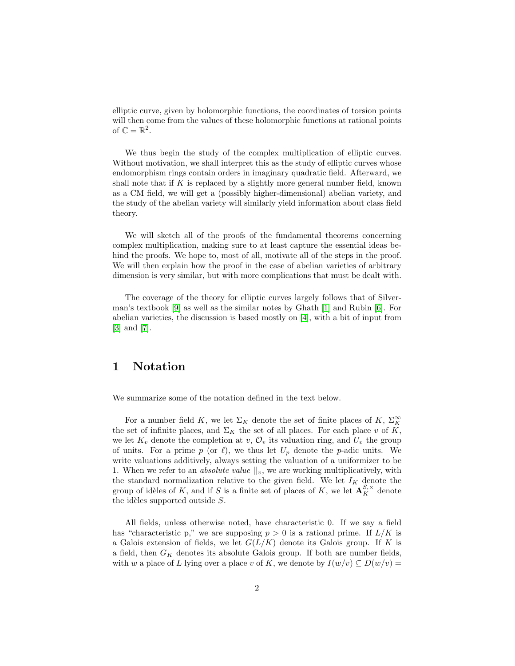elliptic curve, given by holomorphic functions, the coordinates of torsion points will then come from the values of these holomorphic functions at rational points of  $\mathbb{C} = \mathbb{R}^2$ .

We thus begin the study of the complex multiplication of elliptic curves. Without motivation, we shall interpret this as the study of elliptic curves whose endomorphism rings contain orders in imaginary quadratic field. Afterward, we shall note that if  $K$  is replaced by a slightly more general number field, known as a CM field, we will get a (possibly higher-dimensional) abelian variety, and the study of the abelian variety will similarly yield information about class field theory.

We will sketch all of the proofs of the fundamental theorems concerning complex multiplication, making sure to at least capture the essential ideas behind the proofs. We hope to, most of all, motivate all of the steps in the proof. We will then explain how the proof in the case of abelian varieties of arbitrary dimension is very similar, but with more complications that must be dealt with.

The coverage of the theory for elliptic curves largely follows that of Silverman's textbook [\[9\]](#page-36-0) as well as the similar notes by Ghath [\[1\]](#page-35-0) and Rubin [\[6\]](#page-36-1). For abelian varieties, the discussion is based mostly on [\[4\]](#page-36-2), with a bit of input from [\[3\]](#page-35-1) and [\[7\]](#page-36-3).

## 1 Notation

We summarize some of the notation defined in the text below.

For a number field K, we let  $\Sigma_K$  denote the set of finite places of K,  $\Sigma_K^{\infty}$ the set of infinite places, and  $\overline{\Sigma_K}$  the set of all places. For each place v of K, we let  $K_v$  denote the completion at  $v, \mathcal{O}_v$  its valuation ring, and  $U_v$  the group of units. For a prime p (or  $\ell$ ), we thus let  $U_p$  denote the p-adic units. We write valuations additively, always setting the valuation of a uniformizer to be 1. When we refer to an *absolute value*  $||_v$ , we are working multiplicatively, with the standard normalization relative to the given field. We let  $I_K$  denote the group of idèles of K, and if S is a finite set of places of K, we let  $\mathbf{A}^{S,\times}_K$  denote the idèles supported outside  $S$ .

All fields, unless otherwise noted, have characteristic 0. If we say a field has "characteristic p," we are supposing  $p > 0$  is a rational prime. If  $L/K$  is a Galois extension of fields, we let  $G(L/K)$  denote its Galois group. If K is a field, then  $G_K$  denotes its absolute Galois group. If both are number fields, with w a place of L lying over a place v of K, we denote by  $I(w/v) \subseteq D(w/v) =$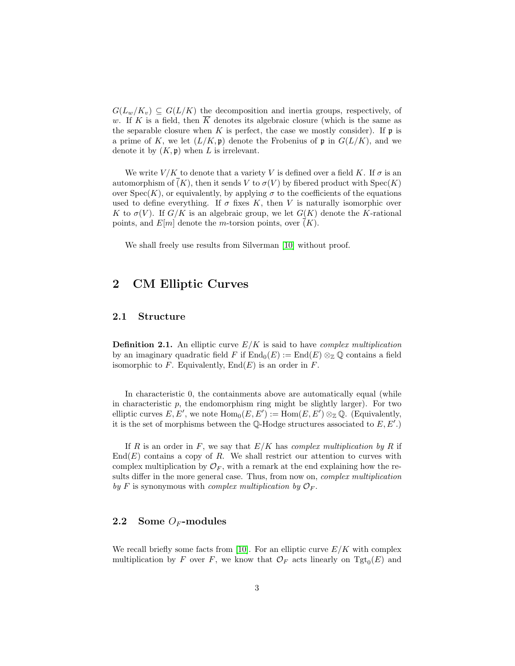$G(L_w/K_v) \subseteq G(L/K)$  the decomposition and inertia groups, respectively, of w. If K is a field, then  $\overline{K}$  denotes its algebraic closure (which is the same as the separable closure when K is perfect, the case we mostly consider). If  $\mathfrak p$  is a prime of K, we let  $(L/K, \mathfrak{p})$  denote the Frobenius of p in  $G(L/K)$ , and we denote it by  $(K, \mathfrak{p})$  when L is irrelevant.

We write  $V/K$  to denote that a variety V is defined over a field K. If  $\sigma$  is an automorphism of  $\overline{(K)}$ , then it sends V to  $\sigma(V)$  by fibered product with  $Spec(K)$ over  $Spec(K)$ , or equivalently, by applying  $\sigma$  to the coefficients of the equations used to define everything. If  $\sigma$  fixes K, then V is naturally isomorphic over K to  $\sigma(V)$ . If  $G/K$  is an algebraic group, we let  $G(K)$  denote the K-rational points, and  $E[m]$  denote the *m*-torsion points, over  $(K)$ .

We shall freely use results from Silverman [\[10\]](#page-36-4) without proof.

### 2 CM Elliptic Curves

### 2.1 Structure

**Definition 2.1.** An elliptic curve  $E/K$  is said to have *complex multiplication* by an imaginary quadratic field F if  $\text{End}_{0}(E) := \text{End}(E) \otimes_{\mathbb{Z}} \mathbb{Q}$  contains a field isomorphic to  $F$ . Equivalently,  $End(E)$  is an order in  $F$ .

In characteristic 0, the containments above are automatically equal (while in characteristic  $p$ , the endomorphism ring might be slightly larger). For two elliptic curves  $E, E'$ , we note  $Hom_0(E, E') := Hom(E, E') \otimes_{\mathbb{Z}} \mathbb{Q}$ . (Equivalently, it is the set of morphisms between the  $\mathbb Q$ -Hodge structures associated to  $E, E'.$ )

If R is an order in F, we say that  $E/K$  has complex multiplication by R if  $End(E)$  contains a copy of R. We shall restrict our attention to curves with complex multiplication by  $\mathcal{O}_F$ , with a remark at the end explaining how the results differ in the more general case. Thus, from now on, *complex multiplication* by F is synonymous with *complex multiplication* by  $\mathcal{O}_F$ .

### 2.2 Some  $O_F$ -modules

We recall briefly some facts from [\[10\]](#page-36-4). For an elliptic curve  $E/K$  with complex multiplication by F over F, we know that  $\mathcal{O}_F$  acts linearly on  $\text{Tgt}_0(E)$  and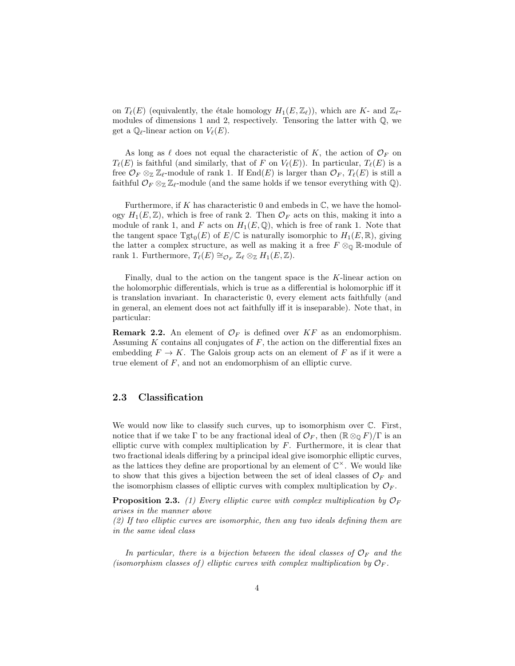on  $T_{\ell}(E)$  (equivalently, the étale homology  $H_1(E, \mathbb{Z}_{\ell})$ ), which are K- and  $\mathbb{Z}_{\ell}$ modules of dimensions 1 and 2, respectively. Tensoring the latter with  $\mathbb{Q}$ , we get a  $\mathbb{Q}_{\ell}$ -linear action on  $V_{\ell}(E)$ .

As long as  $\ell$  does not equal the characteristic of K, the action of  $\mathcal{O}_F$  on  $T_{\ell}(E)$  is faithful (and similarly, that of F on  $V_{\ell}(E)$ ). In particular,  $T_{\ell}(E)$  is a free  $\mathcal{O}_F \otimes_{\mathbb{Z}} \mathbb{Z}_{\ell}$ -module of rank 1. If End $(E)$  is larger than  $\mathcal{O}_F$ ,  $T_{\ell}(E)$  is still a faithful  $\mathcal{O}_F \otimes_{\mathbb{Z}} \mathbb{Z}_{\ell}$ -module (and the same holds if we tensor everything with  $\mathbb{Q}$ ).

Furthermore, if K has characteristic 0 and embeds in  $\mathbb{C}$ , we have the homology  $H_1(E, \mathbb{Z})$ , which is free of rank 2. Then  $\mathcal{O}_F$  acts on this, making it into a module of rank 1, and F acts on  $H_1(E, \mathbb{Q})$ , which is free of rank 1. Note that the tangent space  $\mathrm{Tgt}_0(E)$  of  $E/\mathbb{C}$  is naturally isomorphic to  $H_1(E,\mathbb{R})$ , giving the latter a complex structure, as well as making it a free  $F \otimes_{\mathbb{Q}} \mathbb{R}$ -module of rank 1. Furthermore,  $T_{\ell}(E) \cong_{\mathcal{O}_F} \mathbb{Z}_{\ell} \otimes_{\mathbb{Z}} H_1(E, \mathbb{Z}).$ 

Finally, dual to the action on the tangent space is the K-linear action on the holomorphic differentials, which is true as a differential is holomorphic iff it is translation invariant. In characteristic 0, every element acts faithfully (and in general, an element does not act faithfully iff it is inseparable). Note that, in particular:

**Remark 2.2.** An element of  $\mathcal{O}_F$  is defined over  $KF$  as an endomorphism. Assuming  $K$  contains all conjugates of  $F$ , the action on the differential fixes an embedding  $F \to K$ . The Galois group acts on an element of F as if it were a true element of  $F$ , and not an endomorphism of an elliptic curve.

### 2.3 Classification

We would now like to classify such curves, up to isomorphism over  $\mathbb{C}$ . First, notice that if we take  $\Gamma$  to be any fractional ideal of  $\mathcal{O}_F$ , then  $(\mathbb{R} \otimes_{\mathbb{Q}} F)/\Gamma$  is an elliptic curve with complex multiplication by  $F$ . Furthermore, it is clear that two fractional ideals differing by a principal ideal give isomorphic elliptic curves, as the lattices they define are proportional by an element of  $\mathbb{C}^{\times}$ . We would like to show that this gives a bijection between the set of ideal classes of  $\mathcal{O}_F$  and the isomorphism classes of elliptic curves with complex multiplication by  $\mathcal{O}_F$ .

**Proposition 2.3.** (1) Every elliptic curve with complex multiplication by  $\mathcal{O}_F$ arises in the manner above

(2) If two elliptic curves are isomorphic, then any two ideals defining them are in the same ideal class

In particular, there is a bijection between the ideal classes of  $\mathcal{O}_F$  and the (isomorphism classes of) elliptic curves with complex multiplication by  $\mathcal{O}_F$ .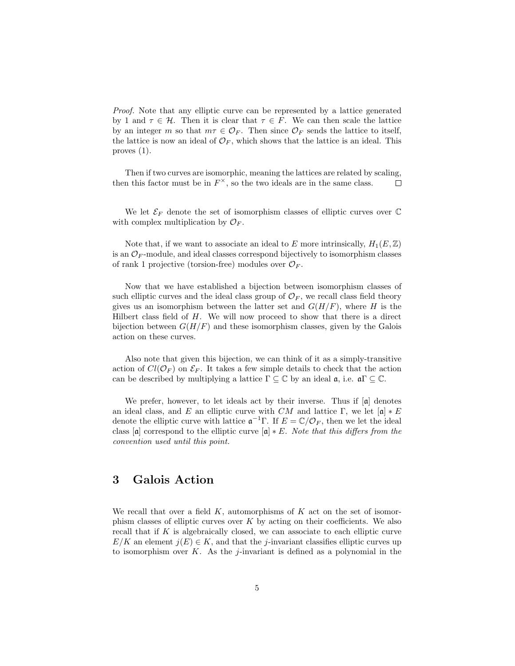Proof. Note that any elliptic curve can be represented by a lattice generated by 1 and  $\tau \in \mathcal{H}$ . Then it is clear that  $\tau \in F$ . We can then scale the lattice by an integer m so that  $m\tau \in \mathcal{O}_F$ . Then since  $\mathcal{O}_F$  sends the lattice to itself, the lattice is now an ideal of  $\mathcal{O}_F$ , which shows that the lattice is an ideal. This proves (1).

Then if two curves are isomorphic, meaning the lattices are related by scaling, then this factor must be in  $F^{\times}$ , so the two ideals are in the same class.  $\Box$ 

We let  $\mathcal{E}_F$  denote the set of isomorphism classes of elliptic curves over  $\mathbb C$ with complex multiplication by  $\mathcal{O}_F$ .

Note that, if we want to associate an ideal to E more intrinsically,  $H_1(E, \mathbb{Z})$ is an  $\mathcal{O}_F$ -module, and ideal classes correspond bijectively to isomorphism classes of rank 1 projective (torsion-free) modules over  $\mathcal{O}_F$ .

Now that we have established a bijection between isomorphism classes of such elliptic curves and the ideal class group of  $\mathcal{O}_F$ , we recall class field theory gives us an isomorphism between the latter set and  $G(H/F)$ , where H is the Hilbert class field of  $H$ . We will now proceed to show that there is a direct bijection between  $G(H/F)$  and these isomorphism classes, given by the Galois action on these curves.

Also note that given this bijection, we can think of it as a simply-transitive action of  $Cl(\mathcal{O}_F)$  on  $\mathcal{E}_F$ . It takes a few simple details to check that the action can be described by multiplying a lattice  $\Gamma \subseteq \mathbb{C}$  by an ideal  $\mathfrak{a}$ , i.e.  $\mathfrak{a}\Gamma \subseteq \mathbb{C}$ .

We prefer, however, to let ideals act by their inverse. Thus if  $[a]$  denotes an ideal class, and E an elliptic curve with CM and lattice Γ, we let  $[a] * E$ denote the elliptic curve with lattice  $\mathfrak{a}^{-1}\Gamma$ . If  $E = \mathbb{C}/\mathcal{O}_F$ , then we let the ideal class  $[\mathfrak{a}]$  correspond to the elliptic curve  $[\mathfrak{a}] * E$ . Note that this differs from the convention used until this point.

### 3 Galois Action

We recall that over a field  $K$ , automorphisms of  $K$  act on the set of isomorphism classes of elliptic curves over  $K$  by acting on their coefficients. We also recall that if  $K$  is algebraically closed, we can associate to each elliptic curve  $E/K$  an element  $j(E) \in K$ , and that the j-invariant classifies elliptic curves up to isomorphism over  $K$ . As the *j*-invariant is defined as a polynomial in the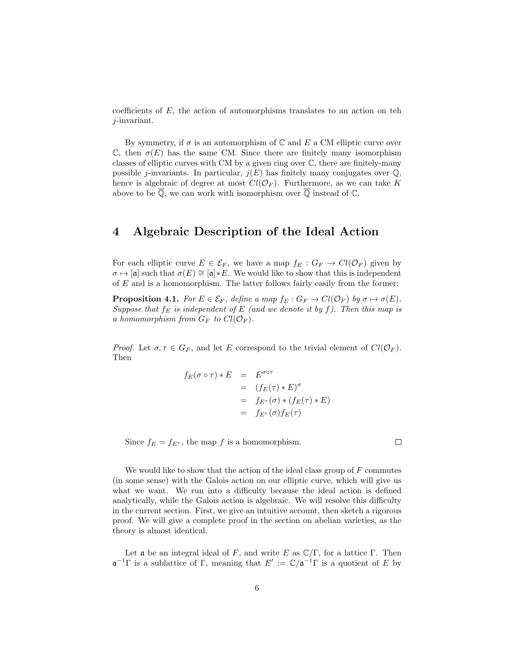coefficients of  $E$ , the action of automorphisms translates to an action on teh j-invariant.

By symmetry, if  $\sigma$  is an automorphism of  $\mathbb C$  and  $E$  a CM elliptic curve over  $\mathbb{C}$ , then  $\sigma(E)$  has the same CM. Since there are finitely many isomorphism classes of elliptic curves with CM by a given ring over C, there are finitely-many possible j-invariants. In particular,  $j(E)$  has finitely many conjugates over  $\mathbb{Q}$ , hence is algebraic of degree at most  $Cl(\mathcal{O}_F)$ . Furthermore, as we can take K above to be  $\overline{Q}$ , we can work with isomorphism over  $\overline{Q}$  instead of  $\mathbb{C}$ .

## 4 Algebraic Description of the Ideal Action

For each elliptic curve  $E \in \mathcal{E}_F$ , we have a map  $f_E : G_F \to Cl(\mathcal{O}_F)$  given by  $\sigma \mapsto [\mathfrak{a}]$  such that  $\sigma(E) \cong [\mathfrak{a}]*E$ . We would like to show that this is independent of E and is a homomorphism. The latter follows fairly easily from the former:

**Proposition 4.1.** For  $E \in \mathcal{E}_F$ , define a map  $f_E : G_F \to Cl(\mathcal{O}_F)$  by  $\sigma \mapsto \sigma(E)$ . Suppose that  $f_E$  is independent of E (and we denote it by f). Then this map is a homomorphism from  $G_F$  to  $Cl(\mathcal{O}_F)$ .

*Proof.* Let  $\sigma, \tau \in G_F$ , and let E correspond to the trivial element of  $Cl(\mathcal{O}_F)$ . Then

$$
f_E(\sigma \circ \tau) * E = E^{\sigma \circ \tau}
$$
  
= 
$$
(f_E(\tau) * E)^{\sigma}
$$
  
= 
$$
f_{E^{\tau}}(\sigma) * (f_E(\tau) * E)
$$
  
= 
$$
f_{E^{\tau}}(\sigma) f_E(\tau)
$$

Since  $f_E = f_{E^{\tau}}$ , the map f is a homomorphism.

We would like to show that the action of the ideal class group of  $F$  commutes (in some sense) with the Galois action on our elliptic curve, which will give us what we want. We run into a difficulty because the ideal action is defined analytically, while the Galois action is algebraic. We will resolve this difficulty in the current section. First, we give an intuitive account, then sketch a rigorous proof. We will give a complete proof in the section on abelian varieties, as the theory is almost identical.

Let **a** be an integral ideal of F, and write E as  $\mathbb{C}/\Gamma$ , for a lattice  $\Gamma$ . Then  $\mathfrak{a}^{-1}\Gamma$  is a sublattice of  $\Gamma$ , meaning that  $E' := \mathbb{C}/\mathfrak{a}^{-1}\Gamma$  is a quotient of E by

 $\Box$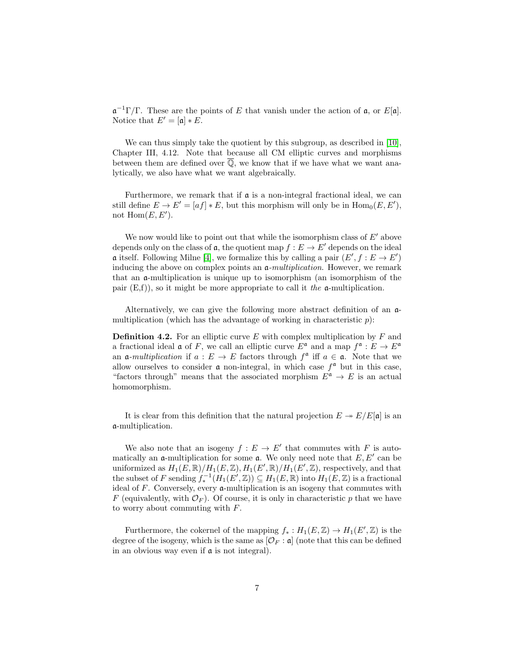$\mathfrak{a}^{-1}\Gamma/\Gamma$ . These are the points of E that vanish under the action of  $\mathfrak{a}$ , or E[a]. Notice that  $E' = [\mathfrak{a}] * E$ .

We can thus simply take the quotient by this subgroup, as described in [\[10\]](#page-36-4), Chapter III, 4.12. Note that because all CM elliptic curves and morphisms between them are defined over  $\overline{Q}$ , we know that if we have what we want analytically, we also have what we want algebraically.

Furthermore, we remark that if  $\alpha$  is a non-integral fractional ideal, we can still define  $E \to E' = [af] * E$ , but this morphism will only be in  $Hom_0(E, E'),$ not  $\text{Hom}(E, E').$ 

We now would like to point out that while the isomorphism class of  $E'$  above depends only on the class of  $\mathfrak a$ , the quotient map  $f : E \to E'$  depends on the ideal **a** itself. Following Milne [\[4\]](#page-36-2), we formalize this by calling a pair  $(E', f : E \to E')$ inducing the above on complex points an  $\mathfrak{a}\text{-}multiplication$ . However, we remark that an a-multiplication is unique up to isomorphism (an isomorphism of the pair  $(E,f)$ , so it might be more appropriate to call it the  $\alpha$ -multiplication.

Alternatively, we can give the following more abstract definition of an amultiplication (which has the advantage of working in characteristic  $p$ ):

**Definition 4.2.** For an elliptic curve  $E$  with complex multiplication by  $F$  and a fractional ideal **a** of F, we call an elliptic curve  $E^{\mathfrak{a}}$  and a map  $f^{\mathfrak{a}}: E \to E^{\mathfrak{a}}$ an  $\mathfrak{a}\text{-}multiplication$  if  $a: E \to E$  factors through  $f^{\mathfrak{a}}$  iff  $a \in \mathfrak{a}$ . Note that we allow ourselves to consider  $\boldsymbol{\alpha}$  non-integral, in which case  $f^{\boldsymbol{\alpha}}$  but in this case, "factors through" means that the associated morphism  $E^{\mathfrak{a}} \to E$  is an actual homomorphism.

It is clear from this definition that the natural projection  $E \to E/E[\mathfrak{a}]$  is an a-multiplication.

We also note that an isogeny  $f: E \to E'$  that commutes with F is automatically an  $\mathfrak a$ -multiplication for some  $\mathfrak a$ . We only need note that  $E, E'$  can be uniformized as  $H_1(E, \mathbb{R})/H_1(E, \mathbb{Z}), H_1(E', \mathbb{R})/H_1(E', \mathbb{Z}),$  respectively, and that the subset of F sending  $f_*^{-1}(H_1(E', \mathbb{Z})) \subseteq H_1(E, \mathbb{R})$  into  $H_1(E, \mathbb{Z})$  is a fractional ideal of  $F$ . Conversely, every  $\alpha$ -multiplication is an isogeny that commutes with F (equivalently, with  $\mathcal{O}_F$ ). Of course, it is only in characteristic p that we have to worry about commuting with F.

Furthermore, the cokernel of the mapping  $f_* : H_1(E, \mathbb{Z}) \to H_1(E', \mathbb{Z})$  is the degree of the isogeny, which is the same as  $[\mathcal{O}_F : \mathfrak{a}]$  (note that this can be defined in an obvious way even if a is not integral).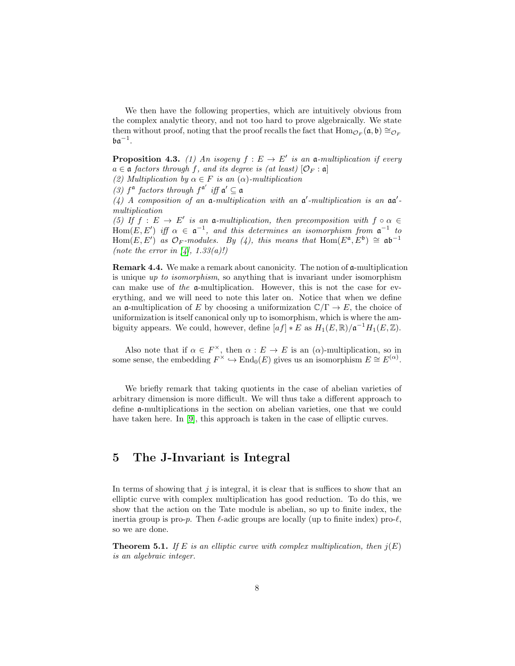We then have the following properties, which are intuitively obvious from the complex analytic theory, and not too hard to prove algebraically. We state them without proof, noting that the proof recalls the fact that  $\text{Hom}_{\mathcal{O}_F}(\mathfrak{a}, \mathfrak{b}) \cong_{\mathcal{O}_F}$  $\mathfrak{b} \mathfrak{a}^{-1}.$ 

**Proposition 4.3.** (1) An isogeny  $f : E \to E'$  is an a-multiplication if every  $a \in \mathfrak{a}$  factors through f, and its degree is (at least)  $[\mathcal{O}_F : \mathfrak{a}]$ 

(2) Multiplication by  $\alpha \in F$  is an  $(\alpha)$ -multiplication

(3)  $f^{\mathfrak{a}}$  factors through  $f^{\mathfrak{a}'}$  iff  $\mathfrak{a}' \subseteq \mathfrak{a}$ 

(4) A composition of an  $\mathfrak{a}$ -multiplication with an  $\mathfrak{a}'$ -multiplication is an  $\mathfrak{a}\mathfrak{a}'$ multiplication

(5) If  $f: E \to E'$  is an **a**-multiplication, then precomposition with  $f \circ \alpha \in$ Hom $(E, E')$  iff  $\alpha \in \mathfrak{a}^{-1}$ , and this determines an isomorphism from  $\mathfrak{a}^{-1}$  to  $Hom(E, E')$  as  $\mathcal{O}_F$ -modules. By (4), this means that  $Hom(E^{\mathfrak{a}}, E^{\mathfrak{b}}) \cong \mathfrak{a} \mathfrak{b}^{-1}$ (note the error in [\[4\]](#page-36-2),  $1.33(a)!$ )

Remark 4.4. We make a remark about canonicity. The notion of a-multiplication is unique up to isomorphism, so anything that is invariant under isomorphism can make use of the a-multiplication. However, this is not the case for everything, and we will need to note this later on. Notice that when we define an **a**-multiplication of E by choosing a uniformization  $\mathbb{C}/\Gamma \to E$ , the choice of uniformization is itself canonical only up to isomorphism, which is where the ambiguity appears. We could, however, define  $[af] * E$  as  $H_1(E, \mathbb{R})/\mathfrak{a}^{-1}H_1(E, \mathbb{Z})$ .

Also note that if  $\alpha \in F^{\times}$ , then  $\alpha : E \to E$  is an  $(\alpha)$ -multiplication, so in some sense, the embedding  $F^{\times} \hookrightarrow \text{End}_{0}(E)$  gives us an isomorphism  $E \cong E^{(\alpha)}$ .

We briefly remark that taking quotients in the case of abelian varieties of arbitrary dimension is more difficult. We will thus take a different approach to define a-multiplications in the section on abelian varieties, one that we could have taken here. In [\[9\]](#page-36-0), this approach is taken in the case of elliptic curves.

# 5 The J-Invariant is Integral

In terms of showing that  $j$  is integral, it is clear that is suffices to show that an elliptic curve with complex multiplication has good reduction. To do this, we show that the action on the Tate module is abelian, so up to finite index, the inertia group is pro-p. Then  $\ell$ -adic groups are locally (up to finite index) pro- $\ell$ , so we are done.

**Theorem 5.1.** If E is an elliptic curve with complex multiplication, then  $j(E)$ is an algebraic integer.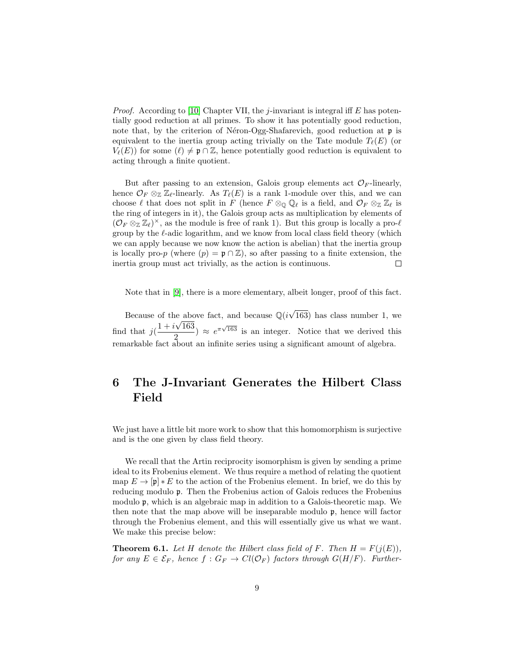*Proof.* According to [\[10\]](#page-36-4) Chapter VII, the j-invariant is integral iff E has potentially good reduction at all primes. To show it has potentially good reduction, note that, by the criterion of Néron-Ogg-Shafarevich, good reduction at  $\mathfrak p$  is equivalent to the inertia group acting trivially on the Tate module  $T_{\ell}(E)$  (or  $V_{\ell}(E)$  for some  $(\ell) \neq \mathfrak{p} \cap \mathbb{Z}$ , hence potentially good reduction is equivalent to acting through a finite quotient.

But after passing to an extension, Galois group elements act  $\mathcal{O}_F$ -linearly, hence  $\mathcal{O}_F \otimes_{\mathbb{Z}} \mathbb{Z}_{\ell}$ -linearly. As  $T_{\ell}(E)$  is a rank 1-module over this, and we can choose  $\ell$  that does not split in F (hence  $F \otimes_{\mathbb{Q}} \mathbb{Q}_{\ell}$  is a field, and  $\mathcal{O}_F \otimes_{\mathbb{Z}} \mathbb{Z}_{\ell}$  is the ring of integers in it), the Galois group acts as multiplication by elements of  $(\mathcal{O}_F \otimes_{\mathbb{Z}} \mathbb{Z}_\ell)^\times$ , as the module is free of rank 1). But this group is locally a pro- $\ell$ group by the  $\ell$ -adic logarithm, and we know from local class field theory (which we can apply because we now know the action is abelian) that the inertia group is locally pro-p (where  $(p) = \mathfrak{p} \cap \mathbb{Z}$ ), so after passing to a finite extension, the inertia group must act trivially, as the action is continuous.  $\Box$ 

Note that in [\[9\]](#page-36-0), there is a more elementary, albeit longer, proof of this fact.

Because of the above fact, and because  $\mathbb{Q}(i\sqrt{\mathbb{Q}})$ e above fact, and because  $\mathbb{Q}(i\sqrt{163})$  has class number 1, we find that  $j\left(\frac{1+i\sqrt{163}}{2}\right)$  $\frac{2}{(2)}$   $\approx e^{\pi\sqrt{163}}$  is an integer. Notice that we derived this remarkable fact about an infinite series using a significant amount of algebra.

# 6 The J-Invariant Generates the Hilbert Class Field

We just have a little bit more work to show that this homomorphism is surjective and is the one given by class field theory.

We recall that the Artin reciprocity isomorphism is given by sending a prime ideal to its Frobenius element. We thus require a method of relating the quotient map  $E \to [\mathfrak{p}] * E$  to the action of the Frobenius element. In brief, we do this by reducing modulo p. Then the Frobenius action of Galois reduces the Frobenius modulo p, which is an algebraic map in addition to a Galois-theoretic map. We then note that the map above will be inseparable modulo  $\mathfrak{p}$ , hence will factor through the Frobenius element, and this will essentially give us what we want. We make this precise below:

<span id="page-8-0"></span>**Theorem 6.1.** Let H denote the Hilbert class field of F. Then  $H = F(j(E))$ . for any  $E \in \mathcal{E}_F$ , hence  $f : G_F \to Cl(\mathcal{O}_F)$  factors through  $G(H/F)$ . Further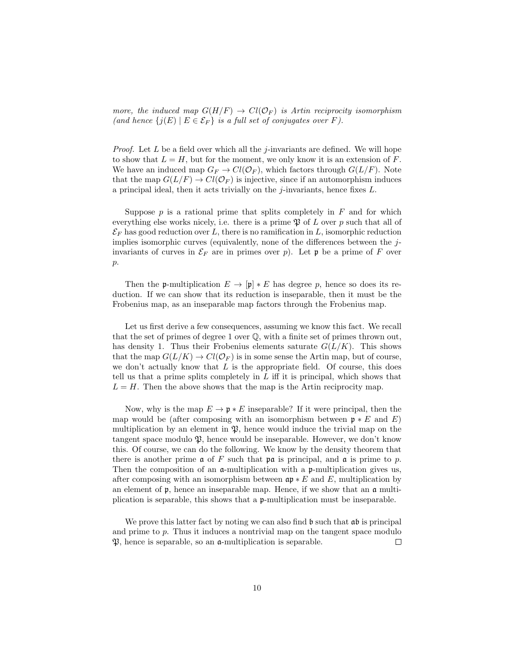more, the induced map  $G(H/F) \to Cl(\mathcal{O}_F)$  is Artin reciprocity isomorphism (and hence  $\{j(E) \mid E \in \mathcal{E}_F\}$  is a full set of conjugates over F).

*Proof.* Let  $L$  be a field over which all the j-invariants are defined. We will hope to show that  $L = H$ , but for the moment, we only know it is an extension of F. We have an induced map  $G_F \to Cl(\mathcal{O}_F)$ , which factors through  $G(L/F)$ . Note that the map  $G(L/F) \to Cl(\mathcal{O}_F)$  is injective, since if an automorphism induces a principal ideal, then it acts trivially on the j-invariants, hence fixes  $L$ .

Suppose  $p$  is a rational prime that splits completely in  $F$  and for which everything else works nicely, i.e. there is a prime  $\mathfrak P$  of L over p such that all of  $\mathcal{E}_F$  has good reduction over L, there is no ramification in L, isomorphic reduction implies isomorphic curves (equivalently, none of the differences between the  $j$ invariants of curves in  $\mathcal{E}_F$  are in primes over p). Let p be a prime of F over  $p$ .

Then the p-multiplication  $E \to [\mathfrak{p}] * E$  has degree p, hence so does its reduction. If we can show that its reduction is inseparable, then it must be the Frobenius map, as an inseparable map factors through the Frobenius map.

Let us first derive a few consequences, assuming we know this fact. We recall that the set of primes of degree 1 over Q, with a finite set of primes thrown out, has density 1. Thus their Frobenius elements saturate  $G(L/K)$ . This shows that the map  $G(L/K) \to Cl(\mathcal{O}_F)$  is in some sense the Artin map, but of course, we don't actually know that  $L$  is the appropriate field. Of course, this does tell us that a prime splits completely in  $L$  iff it is principal, which shows that  $L = H$ . Then the above shows that the map is the Artin reciprocity map.

Now, why is the map  $E \to \mathfrak{p} * E$  inseparable? If it were principal, then the map would be (after composing with an isomorphism between  $\mathfrak{p} * E$  and E) multiplication by an element in  $\mathfrak{P}$ , hence would induce the trivial map on the tangent space modulo  $\mathfrak{P}$ , hence would be inseparable. However, we don't know this. Of course, we can do the following. We know by the density theorem that there is another prime  $\mathfrak a$  of F such that  $\mathfrak p$  is principal, and  $\mathfrak a$  is prime to p. Then the composition of an a-multiplication with a p-multiplication gives us, after composing with an isomorphism between  $\mathfrak{ap} * E$  and E, multiplication by an element of p, hence an inseparable map. Hence, if we show that an a multiplication is separable, this shows that a p-multiplication must be inseparable.

We prove this latter fact by noting we can also find  $\mathfrak b$  such that  $\mathfrak ab$  is principal and prime to p. Thus it induces a nontrivial map on the tangent space modulo  $\mathfrak{P}$ , hence is separable, so an  $\mathfrak{a}$ -multiplication is separable.  $\Box$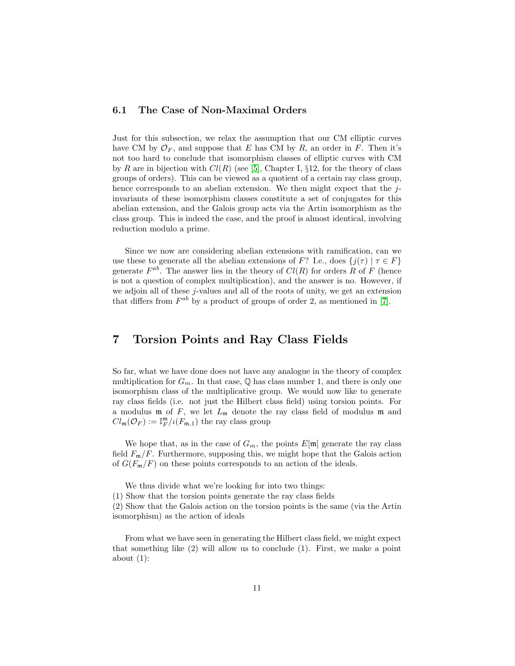### 6.1 The Case of Non-Maximal Orders

Just for this subsection, we relax the assumption that our CM elliptic curves have CM by  $\mathcal{O}_F$ , and suppose that E has CM by R, an order in F. Then it's not too hard to conclude that isomorphism classes of elliptic curves with CM by R are in bijection with  $Cl(R)$  (see [\[5\]](#page-36-5), Chapter I, §12, for the theory of class groups of orders). This can be viewed as a quotient of a certain ray class group, hence corresponds to an abelian extension. We then might expect that the  $j$ invariants of these isomorphism classes constitute a set of conjugates for this abelian extension, and the Galois group acts via the Artin isomorphism as the class group. This is indeed the case, and the proof is almost identical, involving reduction modulo a prime.

Since we now are considering abelian extensions with ramification, can we use these to generate all the abelian extensions of F? I.e., does  $\{j(\tau) | \tau \in F\}$ generate  $F^{ab}$ . The answer lies in the theory of  $Cl(R)$  for orders R of F (hence is not a question of complex multiplication), and the answer is no. However, if we adjoin all of these  $j$ -values and all of the roots of unity, we get an extension that differs from  $F^{ab}$  by a product of groups of order 2, as mentioned in [\[7\]](#page-36-3).

### 7 Torsion Points and Ray Class Fields

So far, what we have done does not have any analogue in the theory of complex multiplication for  $G_m$ . In that case,  $\mathbb Q$  has class number 1, and there is only one isomorphism class of the multiplicative group. We would now like to generate ray class fields (i.e. not just the Hilbert class field) using torsion points. For a modulus  $m$  of  $F$ , we let  $L_m$  denote the ray class field of modulus  $m$  and  $Cl_{\mathfrak{m}}(\mathcal{O}_F) := \mathbb{I}_F^{\mathfrak{m}} / \iota(F_{\mathfrak{m},1})$  the ray class group

We hope that, as in the case of  $G_m$ , the points  $E[\mathfrak{m}]$  generate the ray class field  $F_{\rm m}/F$ . Furthermore, supposing this, we might hope that the Galois action of  $G(F_m/F)$  on these points corresponds to an action of the ideals.

We thus divide what we're looking for into two things: (1) Show that the torsion points generate the ray class fields

(2) Show that the Galois action on the torsion points is the same (via the Artin isomorphism) as the action of ideals

From what we have seen in generating the Hilbert class field, we might expect that something like (2) will allow us to conclude (1). First, we make a point about  $(1)$ :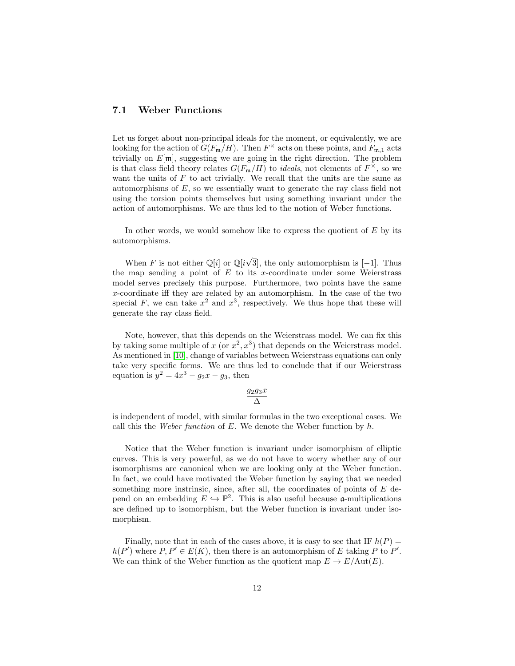### 7.1 Weber Functions

Let us forget about non-principal ideals for the moment, or equivalently, we are looking for the action of  $G(F_m/H)$ . Then  $F^{\times}$  acts on these points, and  $F_{m,1}$  acts trivially on  $E[\mathfrak{m}]$ , suggesting we are going in the right direction. The problem is that class field theory relates  $G(F_{\mathfrak{m}}/H)$  to *ideals*, not elements of  $F^{\times}$ , so we want the units of  $F$  to act trivially. We recall that the units are the same as automorphisms of E, so we essentially want to generate the ray class field not using the torsion points themselves but using something invariant under the action of automorphisms. We are thus led to the notion of Weber functions.

In other words, we would somehow like to express the quotient of  $E$  by its automorphisms.

When F is not either  $\mathbb{Q}[i]$  or  $\mathbb{Q}[i\sqrt{\}]$ 3], the only automorphism is [−1]. Thus the map sending a point of  $E$  to its x-coordinate under some Weierstrass model serves precisely this purpose. Furthermore, two points have the same x-coordinate iff they are related by an automorphism. In the case of the two special F, we can take  $x^2$  and  $x^3$ , respectively. We thus hope that these will generate the ray class field.

Note, however, that this depends on the Weierstrass model. We can fix this by taking some multiple of x (or  $x^2$ ,  $x^3$ ) that depends on the Weierstrass model. As mentioned in [\[10\]](#page-36-4), change of variables between Weierstrass equations can only take very specific forms. We are thus led to conclude that if our Weierstrass equation is  $y^2 = 4x^3 - g_2x - g_3$ , then

$$
\frac{g_2g_3x}{\Delta}
$$

is independent of model, with similar formulas in the two exceptional cases. We call this the Weber function of  $E$ . We denote the Weber function by  $h$ .

Notice that the Weber function is invariant under isomorphism of elliptic curves. This is very powerful, as we do not have to worry whether any of our isomorphisms are canonical when we are looking only at the Weber function. In fact, we could have motivated the Weber function by saying that we needed something more instrinsic, since, after all, the coordinates of points of  $E$  depend on an embedding  $E \hookrightarrow \mathbb{P}^2$ . This is also useful because **a**-multiplications are defined up to isomorphism, but the Weber function is invariant under isomorphism.

Finally, note that in each of the cases above, it is easy to see that IF  $h(P)$  =  $h(P')$  where  $P, P' \in E(K)$ , then there is an automorphism of E taking P to P'. We can think of the Weber function as the quotient map  $E \to E/\text{Aut}(E)$ .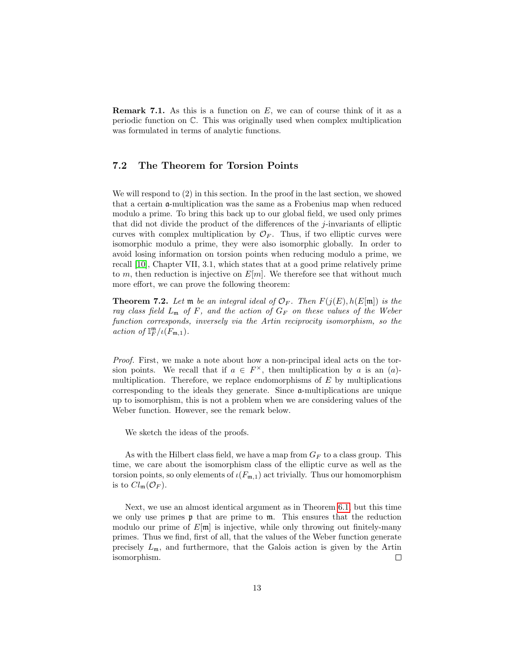**Remark 7.1.** As this is a function on  $E$ , we can of course think of it as a periodic function on C. This was originally used when complex multiplication was formulated in terms of analytic functions.

### 7.2 The Theorem for Torsion Points

We will respond to (2) in this section. In the proof in the last section, we showed that a certain a-multiplication was the same as a Frobenius map when reduced modulo a prime. To bring this back up to our global field, we used only primes that did not divide the product of the differences of the j-invariants of elliptic curves with complex multiplication by  $\mathcal{O}_F$ . Thus, if two elliptic curves were isomorphic modulo a prime, they were also isomorphic globally. In order to avoid losing information on torsion points when reducing modulo a prime, we recall [\[10\]](#page-36-4), Chapter VII, 3.1, which states that at a good prime relatively prime to m, then reduction is injective on  $E[m]$ . We therefore see that without much more effort, we can prove the following theorem:

**Theorem 7.2.** Let  $\mathfrak{m}$  be an integral ideal of  $\mathcal{O}_F$ . Then  $F(j(E), h(E[\mathfrak{m}])$  is the ray class field  $L_m$  of F, and the action of  $G_F$  on these values of the Weber function corresponds, inversely via the Artin reciprocity isomorphism, so the action of  $\mathbb{I}_{F}^{\mathfrak{m}}/\iota(F_{\mathfrak{m},1}).$ 

Proof. First, we make a note about how a non-principal ideal acts on the torsion points. We recall that if  $a \in F^{\times}$ , then multiplication by a is an (a)multiplication. Therefore, we replace endomorphisms of  $E$  by multiplications corresponding to the ideals they generate. Since a-multiplications are unique up to isomorphism, this is not a problem when we are considering values of the Weber function. However, see the remark below.

We sketch the ideas of the proofs.

As with the Hilbert class field, we have a map from  $G_F$  to a class group. This time, we care about the isomorphism class of the elliptic curve as well as the torsion points, so only elements of  $\iota(F_{m,1})$  act trivially. Thus our homomorphism is to  $Cl_{\mathfrak{m}}(\mathcal{O}_F)$ .

Next, we use an almost identical argument as in Theorem [6.1,](#page-8-0) but this time we only use primes  $\mathfrak p$  that are prime to  $\mathfrak m$ . This ensures that the reduction modulo our prime of  $E[\mathfrak{m}]$  is injective, while only throwing out finitely-many primes. Thus we find, first of all, that the values of the Weber function generate precisely  $L_{\mathfrak{m}}$ , and furthermore, that the Galois action is given by the Artin isomorphism.  $\Box$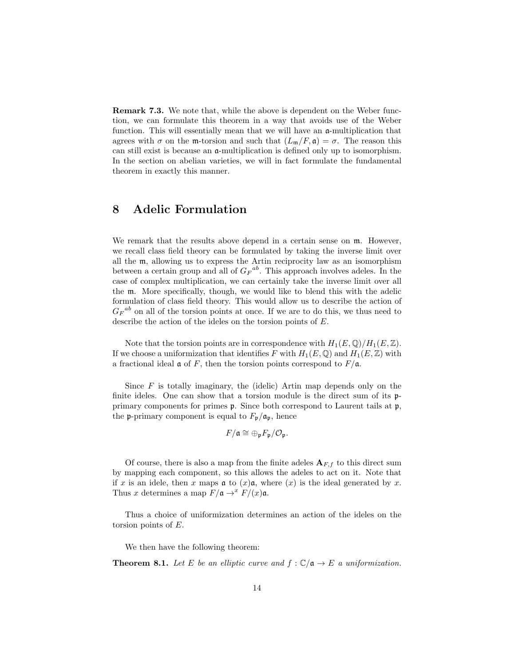Remark 7.3. We note that, while the above is dependent on the Weber function, we can formulate this theorem in a way that avoids use of the Weber function. This will essentially mean that we will have an a-multiplication that agrees with  $\sigma$  on the m-torsion and such that  $(L_m/F, \mathfrak{a}) = \sigma$ . The reason this can still exist is because an a-multiplication is defined only up to isomorphism. In the section on abelian varieties, we will in fact formulate the fundamental theorem in exactly this manner.

## 8 Adelic Formulation

We remark that the results above depend in a certain sense on  $\mathfrak{m}$ . However, we recall class field theory can be formulated by taking the inverse limit over all the m, allowing us to express the Artin reciprocity law as an isomorphism between a certain group and all of  $G_F{}^{ab}$ . This approach involves adeles. In the case of complex multiplication, we can certainly take the inverse limit over all the m. More specifically, though, we would like to blend this with the adelic formulation of class field theory. This would allow us to describe the action of  $G_F{}^{ab}$  on all of the torsion points at once. If we are to do this, we thus need to describe the action of the ideles on the torsion points of E.

Note that the torsion points are in correspondence with  $H_1(E, \mathbb{Q})/H_1(E, \mathbb{Z})$ . If we choose a uniformization that identifies F with  $H_1(E, \mathbb{Q})$  and  $H_1(E, \mathbb{Z})$  with a fractional ideal  $\mathfrak a$  of F, then the torsion points correspond to  $F/\mathfrak a$ .

Since  $F$  is totally imaginary, the (idelic) Artin map depends only on the finite ideles. One can show that a torsion module is the direct sum of its pprimary components for primes p. Since both correspond to Laurent tails at p, the **p**-primary component is equal to  $F_p/\mathfrak{a}_p$ , hence

$$
F/\mathfrak{a} \cong \oplus_{\mathfrak{p}} F_{\mathfrak{p}}/\mathcal{O}_{\mathfrak{p}}.
$$

Of course, there is also a map from the finite adeles  $A_{F,f}$  to this direct sum by mapping each component, so this allows the adeles to act on it. Note that if x is an idele, then x maps  $\mathfrak a$  to  $(x)\mathfrak a$ , where  $(x)$  is the ideal generated by x. Thus x determines a map  $F/\mathfrak{a} \to^x F/(x)\mathfrak{a}$ .

Thus a choice of uniformization determines an action of the ideles on the torsion points of E.

We then have the following theorem:

**Theorem 8.1.** Let E be an elliptic curve and  $f : \mathbb{C}/\mathfrak{a} \to E$  a uniformization.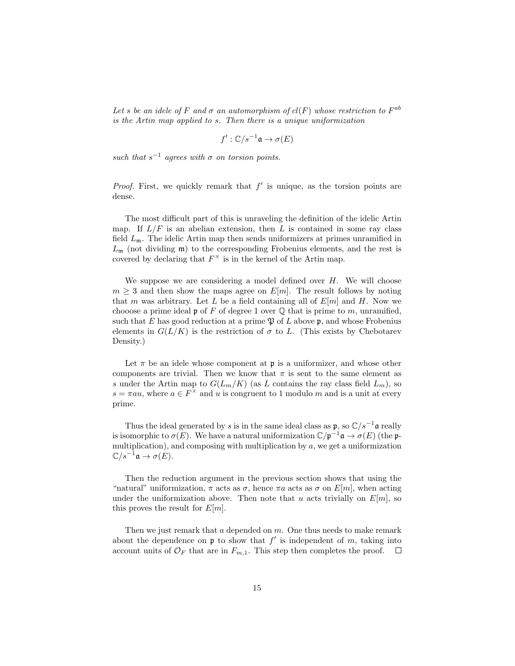Let s be an idele of F and  $\sigma$  an automorphism of  $cl(F)$  whose restriction to  $F^{ab}$ is the Artin map applied to s. Then there is a unique uniformization

$$
f':\mathbb{C}/s^{-1}\mathfrak{a}\to\sigma(E)
$$

such that  $s^{-1}$  agrees with  $\sigma$  on torsion points.

*Proof.* First, we quickly remark that  $f'$  is unique, as the torsion points are dense.

The most difficult part of this is unraveling the definition of the idelic Artin map. If  $L/F$  is an abelian extension, then L is contained in some ray class field  $L_{\mathfrak{m}}$ . The idelic Artin map then sends uniformizers at primes unramified in  $L_{\mathfrak{m}}$  (not dividing  $\mathfrak{m}$ ) to the corresponding Frobenius elements, and the rest is covered by declaring that  $F^{\times}$  is in the kernel of the Artin map.

We suppose we are considering a model defined over  $H$ . We will choose  $m \geq 3$  and then show the maps agree on  $E[m]$ . The result follows by noting that m was arbitrary. Let L be a field containing all of  $E[m]$  and H. Now we chooose a prime ideal  $\mathfrak p$  of F of degree 1 over  $\mathbb Q$  that is prime to m, unramified, such that E has good reduction at a prime  $\mathfrak P$  of L above p, and whose Frobenius elements in  $G(L/K)$  is the restriction of  $\sigma$  to L. (This exists by Chebotarev Density.)

Let  $\pi$  be an idele whose component at **p** is a uniformizer, and whose other components are trivial. Then we know that  $\pi$  is sent to the same element as s under the Artin map to  $G(L_m/K)$  (as L contains the ray class field  $L_m$ ), so  $s = \pi au$ , where  $a \in F^{\times}$  and u is congruent to 1 modulo m and is a unit at every prime.

Thus the ideal generated by s is in the same ideal class as  $\mathfrak{p}$ , so  $\mathbb{C}/s^{-1}$  are really is isomorphic to  $\sigma(E)$ . We have a natural uniformization  $\mathbb{C}/\mathfrak{p}^{-1}\mathfrak{a} \to \sigma(E)$  (the pmultiplication), and composing with multiplication by  $a$ , we get a uniformization  $\mathbb{C}/s^{-1}\mathfrak{a} \to \sigma(E).$ 

Then the reduction argument in the previous section shows that using the "natural" uniformization,  $\pi$  acts as  $\sigma$ , hence  $\pi a$  acts as  $\sigma$  on  $E[m]$ , when acting under the uniformization above. Then note that u acts trivially on  $E[m]$ , so this proves the result for  $E[m]$ .

Then we just remark that a depended on  $m$ . One thus needs to make remark about the dependence on  $\mathfrak p$  to show that  $f'$  is independent of m, taking into account units of  $\mathcal{O}_F$  that are in  $F_{m,1}$ . This step then completes the proof.  $\Box$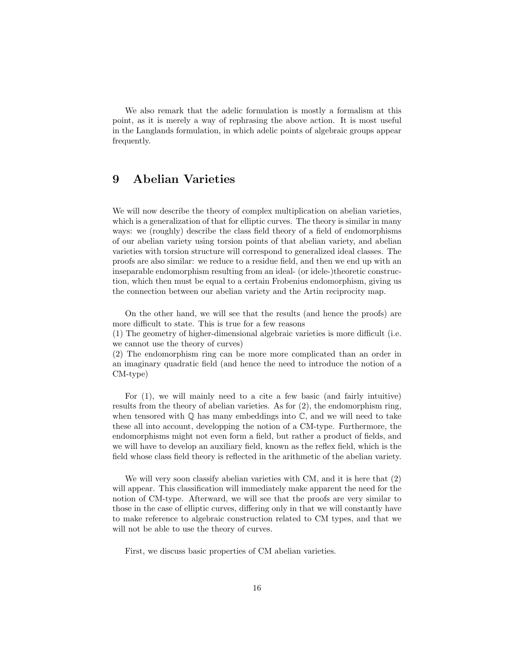We also remark that the adelic formulation is mostly a formalism at this point, as it is merely a way of rephrasing the above action. It is most useful in the Langlands formulation, in which adelic points of algebraic groups appear frequently.

# 9 Abelian Varieties

We will now describe the theory of complex multiplication on abelian varieties, which is a generalization of that for elliptic curves. The theory is similar in many ways: we (roughly) describe the class field theory of a field of endomorphisms of our abelian variety using torsion points of that abelian variety, and abelian varieties with torsion structure will correspond to generalized ideal classes. The proofs are also similar: we reduce to a residue field, and then we end up with an inseparable endomorphism resulting from an ideal- (or idele-)theoretic construction, which then must be equal to a certain Frobenius endomorphism, giving us the connection between our abelian variety and the Artin reciprocity map.

On the other hand, we will see that the results (and hence the proofs) are more difficult to state. This is true for a few reasons

(1) The geometry of higher-dimensional algebraic varieties is more difficult (i.e. we cannot use the theory of curves)

(2) The endomorphism ring can be more more complicated than an order in an imaginary quadratic field (and hence the need to introduce the notion of a CM-type)

For (1), we will mainly need to a cite a few basic (and fairly intuitive) results from the theory of abelian varieties. As for (2), the endomorphism ring, when tensored with  $\mathbb Q$  has many embeddings into  $\mathbb C$ , and we will need to take these all into account, developping the notion of a CM-type. Furthermore, the endomorphisms might not even form a field, but rather a product of fields, and we will have to develop an auxiliary field, known as the reflex field, which is the field whose class field theory is reflected in the arithmetic of the abelian variety.

We will very soon classify abelian varieties with CM, and it is here that (2) will appear. This classification will immediately make apparent the need for the notion of CM-type. Afterward, we will see that the proofs are very similar to those in the case of elliptic curves, differing only in that we will constantly have to make reference to algebraic construction related to CM types, and that we will not be able to use the theory of curves.

First, we discuss basic properties of CM abelian varieties.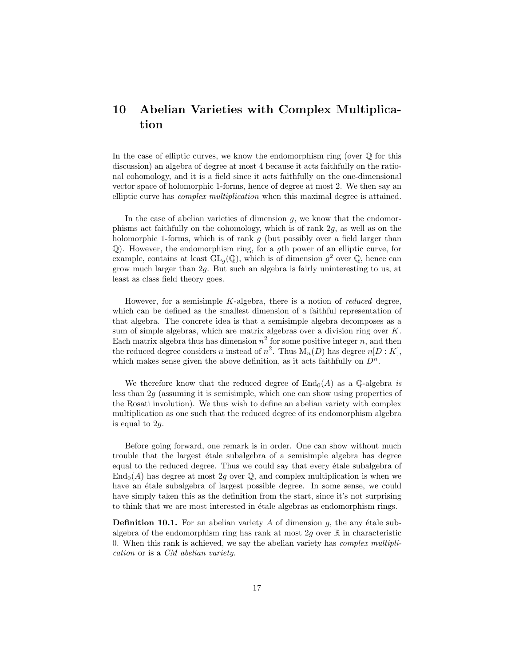# 10 Abelian Varieties with Complex Multiplication

In the case of elliptic curves, we know the endomorphism ring (over  $\mathbb Q$  for this discussion) an algebra of degree at most 4 because it acts faithfully on the rational cohomology, and it is a field since it acts faithfully on the one-dimensional vector space of holomorphic 1-forms, hence of degree at most 2. We then say an elliptic curve has complex multiplication when this maximal degree is attained.

In the case of abelian varieties of dimension  $g$ , we know that the endomorphisms act faithfully on the cohomology, which is of rank 2g, as well as on the holomorphic 1-forms, which is of rank  $g$  (but possibly over a field larger than Q). However, the endomorphism ring, for a gth power of an elliptic curve, for example, contains at least  $GL_g(\mathbb{Q})$ , which is of dimension  $g^2$  over  $\mathbb{Q}$ , hence can grow much larger than 2g. But such an algebra is fairly uninteresting to us, at least as class field theory goes.

However, for a semisimple  $K$ -algebra, there is a notion of *reduced* degree, which can be defined as the smallest dimension of a faithful representation of that algebra. The concrete idea is that a semisimple algebra decomposes as a sum of simple algebras, which are matrix algebras over a division ring over K. Each matrix algebra thus has dimension  $n^2$  for some positive integer n, and then the reduced degree considers n instead of  $n^2$ . Thus  $M_n(D)$  has degree  $n[D:K]$ , which makes sense given the above definition, as it acts faithfully on  $D^n$ .

We therefore know that the reduced degree of  $\text{End}_{0}(A)$  as a Q-algebra is less than 2g (assuming it is semisimple, which one can show using properties of the Rosati involution). We thus wish to define an abelian variety with complex multiplication as one such that the reduced degree of its endomorphism algebra is equal to  $2q$ .

Before going forward, one remark is in order. One can show without much trouble that the largest étale subalgebra of a semisimple algebra has degree equal to the reduced degree. Thus we could say that every étale subalgebra of  $\text{End}_{0}(A)$  has degree at most 2g over Q, and complex multiplication is when we have an étale subalgebra of largest possible degree. In some sense, we could have simply taken this as the definition from the start, since it's not surprising to think that we are most interested in étale algebras as endomorphism rings.

**Definition 10.1.** For an abelian variety  $A$  of dimension  $q$ , the any étale subalgebra of the endomorphism ring has rank at most 2g over  $\mathbb R$  in characteristic 0. When this rank is achieved, we say the abelian variety has complex multiplication or is a CM abelian variety.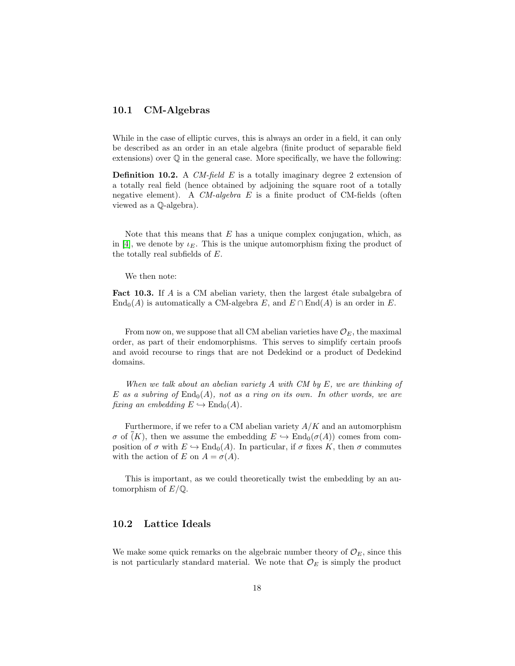### 10.1 CM-Algebras

While in the case of elliptic curves, this is always an order in a field, it can only be described as an order in an etale algebra (finite product of separable field extensions) over  $\mathbb{Q}$  in the general case. More specifically, we have the following:

**Definition 10.2.** A CM-field E is a totally imaginary degree 2 extension of a totally real field (hence obtained by adjoining the square root of a totally negative element). A  $CM$ -algebra E is a finite product of CM-fields (often viewed as a Q-algebra).

Note that this means that  $E$  has a unique complex conjugation, which, as in [\[4\]](#page-36-2), we denote by  $\iota_E$ . This is the unique automorphism fixing the product of the totally real subfields of E.

We then note:

**Fact 10.3.** If  $\vec{A}$  is a CM abelian variety, then the largest étale subalgebra of  $\text{End}_{0}(A)$  is automatically a CM-algebra E, and  $E \cap \text{End}(A)$  is an order in E.

From now on, we suppose that all CM abelian varieties have  $\mathcal{O}_E$ , the maximal order, as part of their endomorphisms. This serves to simplify certain proofs and avoid recourse to rings that are not Dedekind or a product of Dedekind domains.

When we talk about an abelian variety  $A$  with  $CM$  by  $E$ , we are thinking of E as a subring of  $\text{End}_{0}(A)$ , not as a ring on its own. In other words, we are fixing an embedding  $E \hookrightarrow \text{End}_0(A)$ .

Furthermore, if we refer to a CM abelian variety  $A/K$  and an automorphism  $\sigma$  of  $(K)$ , then we assume the embedding  $E \hookrightarrow \text{End}_{0}(\sigma(A))$  comes from composition of  $\sigma$  with  $E \hookrightarrow \text{End}_{0}(A)$ . In particular, if  $\sigma$  fixes K, then  $\sigma$  commutes with the action of E on  $A = \sigma(A)$ .

This is important, as we could theoretically twist the embedding by an automorphism of  $E/\mathbb{Q}$ .

### 10.2 Lattice Ideals

We make some quick remarks on the algebraic number theory of  $\mathcal{O}_E$ , since this is not particularly standard material. We note that  $\mathcal{O}_E$  is simply the product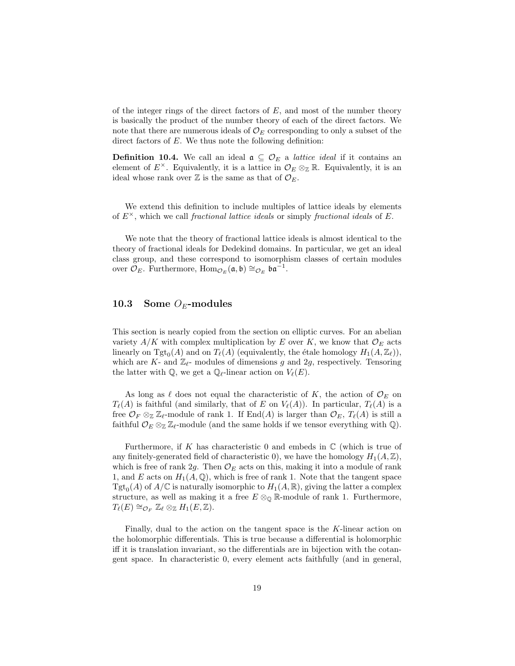of the integer rings of the direct factors of  $E$ , and most of the number theory is basically the product of the number theory of each of the direct factors. We note that there are numerous ideals of  $\mathcal{O}_E$  corresponding to only a subset of the direct factors of  $E$ . We thus note the following definition:

**Definition 10.4.** We call an ideal  $\mathfrak{a} \subseteq \mathcal{O}_E$  a *lattice ideal* if it contains an element of  $E^{\times}$ . Equivalently, it is a lattice in  $\mathcal{O}_E \otimes_{\mathbb{Z}} \mathbb{R}$ . Equivalently, it is an ideal whose rank over  $\mathbb Z$  is the same as that of  $\mathcal{O}_E$ .

We extend this definition to include multiples of lattice ideals by elements of  $E^{\times}$ , which we call fractional lattice ideals or simply fractional ideals of E.

We note that the theory of fractional lattice ideals is almost identical to the theory of fractional ideals for Dedekind domains. In particular, we get an ideal class group, and these correspond to isomorphism classes of certain modules over  $\mathcal{O}_E$ . Furthermore,  $\text{Hom}_{\mathcal{O}_E}(\mathfrak{a}, \mathfrak{b}) \cong_{\mathcal{O}_E} \mathfrak{b} \mathfrak{a}^{-1}$ .

### 10.3 Some  $O_F$ -modules

This section is nearly copied from the section on elliptic curves. For an abelian variety  $A/K$  with complex multiplication by E over K, we know that  $\mathcal{O}_E$  acts linearly on  $\text{Tgt}_0(A)$  and on  $T_{\ell}(A)$  (equivalently, the étale homology  $H_1(A, \mathbb{Z}_{\ell})$ ), which are K- and  $\mathbb{Z}_{\ell}$ - modules of dimensions g and 2g, respectively. Tensoring the latter with  $\mathbb{Q}$ , we get a  $\mathbb{Q}_{\ell}$ -linear action on  $V_{\ell}(E)$ .

As long as  $\ell$  does not equal the characteristic of K, the action of  $\mathcal{O}_E$  on  $T_{\ell}(A)$  is faithful (and similarly, that of E on  $V_{\ell}(A)$ ). In particular,  $T_{\ell}(A)$  is a free  $\mathcal{O}_F \otimes_{\mathbb{Z}} \mathbb{Z}_{\ell}$ -module of rank 1. If End(A) is larger than  $\mathcal{O}_F$ ,  $T_{\ell}(A)$  is still a faithful  $\mathcal{O}_E \otimes_{\mathbb{Z}} \mathbb{Z}_{\ell}$ -module (and the same holds if we tensor everything with  $\mathbb{Q}$ ).

Furthermore, if K has characteristic 0 and embeds in  $\mathbb C$  (which is true of any finitely-generated field of characteristic 0), we have the homology  $H_1(A, \mathbb{Z})$ , which is free of rank 2g. Then  $\mathcal{O}_E$  acts on this, making it into a module of rank 1, and E acts on  $H_1(A, \mathbb{Q})$ , which is free of rank 1. Note that the tangent space  $\mathrm{Tgt}_0(A)$  of  $A/\mathbb{C}$  is naturally isomorphic to  $H_1(A,\mathbb{R})$ , giving the latter a complex structure, as well as making it a free  $E \otimes_{\mathbb{Q}} \mathbb{R}$ -module of rank 1. Furthermore,  $T_{\ell}(E) \cong_{\mathcal{O}_F} \mathbb{Z}_{\ell} \otimes_{\mathbb{Z}} H_1(E, \mathbb{Z}).$ 

Finally, dual to the action on the tangent space is the K-linear action on the holomorphic differentials. This is true because a differential is holomorphic iff it is translation invariant, so the differentials are in bijection with the cotangent space. In characteristic 0, every element acts faithfully (and in general,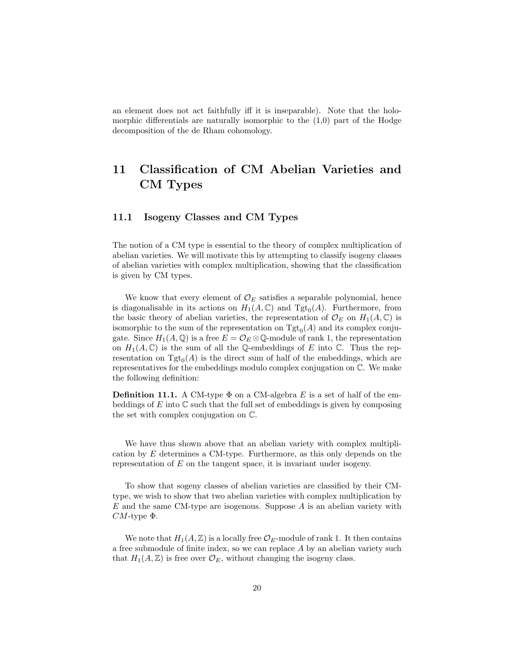an element does not act faithfully iff it is inseparable). Note that the holomorphic differentials are naturally isomorphic to the  $(1,0)$  part of the Hodge decomposition of the de Rham cohomology.

# 11 Classification of CM Abelian Varieties and CM Types

### 11.1 Isogeny Classes and CM Types

The notion of a CM type is essential to the theory of complex multiplication of abelian varieties. We will motivate this by attempting to classify isogeny classes of abelian varieties with complex multiplication, showing that the classification is given by CM types.

We know that every element of  $\mathcal{O}_E$  satisfies a separable polynomial, hence is diagonalisable in its actions on  $H_1(A, \mathbb{C})$  and  $\mathrm{Tgt}_0(A)$ . Furthermore, from the basic theory of abelian varieties, the representation of  $\mathcal{O}_E$  on  $H_1(A, \mathbb{C})$  is isomorphic to the sum of the representation on  $\text{Tgt}_0(A)$  and its complex conjugate. Since  $H_1(A, \mathbb{Q})$  is a free  $E = \mathcal{O}_E \otimes \mathbb{Q}$ -module of rank 1, the representation on  $H_1(A, \mathbb{C})$  is the sum of all the Q-embeddings of E into C. Thus the representation on  $Tgt_0(A)$  is the direct sum of half of the embeddings, which are representatives for the embeddings modulo complex conjugation on C. We make the following definition:

**Definition 11.1.** A CM-type  $\Phi$  on a CM-algebra E is a set of half of the embeddings of  $E$  into  $\mathbb C$  such that the full set of embeddings is given by composing the set with complex conjugation on C.

We have thus shown above that an abelian variety with complex multiplication by E determines a CM-type. Furthermore, as this only depends on the representation of  $E$  on the tangent space, it is invariant under isogeny.

To show that sogeny classes of abelian varieties are classified by their CMtype, we wish to show that two abelian varieties with complex multiplication by E and the same CM-type are isogenous. Suppose A is an abelian variety with  $CM$ -type  $\Phi$ .

We note that  $H_1(A, \mathbb{Z})$  is a locally free  $\mathcal{O}_E$ -module of rank 1. It then contains a free submodule of finite index, so we can replace A by an abelian variety such that  $H_1(A, \mathbb{Z})$  is free over  $\mathcal{O}_E$ , without changing the isogeny class.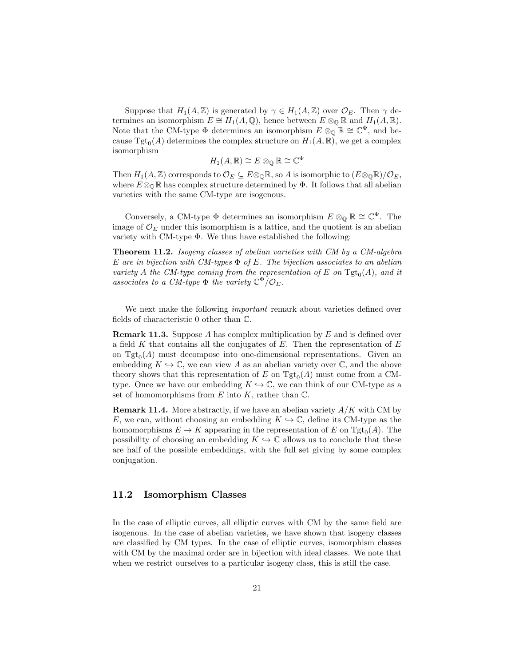Suppose that  $H_1(A, \mathbb{Z})$  is generated by  $\gamma \in H_1(A, \mathbb{Z})$  over  $\mathcal{O}_E$ . Then  $\gamma$  determines an isomorphism  $E \cong H_1(A, \mathbb{Q})$ , hence between  $E \otimes_{\mathbb{Q}} \mathbb{R}$  and  $H_1(A, \mathbb{R})$ . Note that the CM-type  $\Phi$  determines an isomorphism  $E \otimes_{\mathbb{Q}} \mathbb{R} \cong \mathbb{C}^{\Phi}$ , and because  $\mathrm{Tgt}_0(A)$  determines the complex structure on  $H_1(A, \mathbb{R})$ , we get a complex isomorphism

$$
H_1(A,\mathbb{R}) \cong E \otimes_{\mathbb{Q}} \mathbb{R} \cong \mathbb{C}^{\Phi}
$$

Then  $H_1(A,\mathbb{Z})$  corresponds to  $\mathcal{O}_E \subseteq E \otimes_{\mathbb{Q}} \mathbb{R}$ , so A is isomorphic to  $(E \otimes_{\mathbb{Q}} \mathbb{R})/\mathcal{O}_E$ , where  $E \otimes_{\mathbb{Q}} \mathbb{R}$  has complex structure determined by  $\Phi$ . It follows that all abelian varieties with the same CM-type are isogenous.

Conversely, a CM-type  $\Phi$  determines an isomorphism  $E \otimes_{\mathbb{Q}} \mathbb{R} \cong \mathbb{C}^{\Phi}$ . The image of  $\mathcal{O}_E$  under this isomorphism is a lattice, and the quotient is an abelian variety with CM-type  $\Phi$ . We thus have established the following:

**Theorem 11.2.** Isogeny classes of abelian varieties with CM by a CM-algebra E are in bijection with CM-types  $\Phi$  of E. The bijection associates to an abelian variety A the CM-type coming from the representation of E on  $\text{Tgt}_0(A)$ , and it associates to a CM-type  $\Phi$  the variety  $\mathbb{C}^{\Phi}/\mathcal{O}_E$ .

We next make the following *important* remark about varieties defined over fields of characteristic 0 other than C.

**Remark 11.3.** Suppose A has complex multiplication by E and is defined over a field  $K$  that contains all the conjugates of  $E$ . Then the representation of  $E$ on  $Tgt_0(A)$  must decompose into one-dimensional representations. Given an embedding  $K \hookrightarrow \mathbb{C}$ , we can view A as an abelian variety over  $\mathbb{C}$ , and the above theory shows that this representation of  $E$  on  $Tgt_0(A)$  must come from a CMtype. Once we have our embedding  $K \hookrightarrow \mathbb{C}$ , we can think of our CM-type as a set of homomorphisms from  $E$  into  $K$ , rather than  $\mathbb{C}$ .

<span id="page-20-0"></span>**Remark 11.4.** More abstractly, if we have an abelian variety  $A/K$  with CM by E, we can, without choosing an embedding  $K \hookrightarrow \mathbb{C}$ , define its CM-type as the homomorphisms  $E \to K$  appearing in the representation of E on Tgt<sub>0</sub>(A). The possibility of choosing an embedding  $K \hookrightarrow \mathbb{C}$  allows us to conclude that these are half of the possible embeddings, with the full set giving by some complex conjugation.

### 11.2 Isomorphism Classes

In the case of elliptic curves, all elliptic curves with CM by the same field are isogenous. In the case of abelian varieties, we have shown that isogeny classes are classified by CM types. In the case of elliptic curves, isomorphism classes with CM by the maximal order are in bijection with ideal classes. We note that when we restrict ourselves to a particular isogeny class, this is still the case.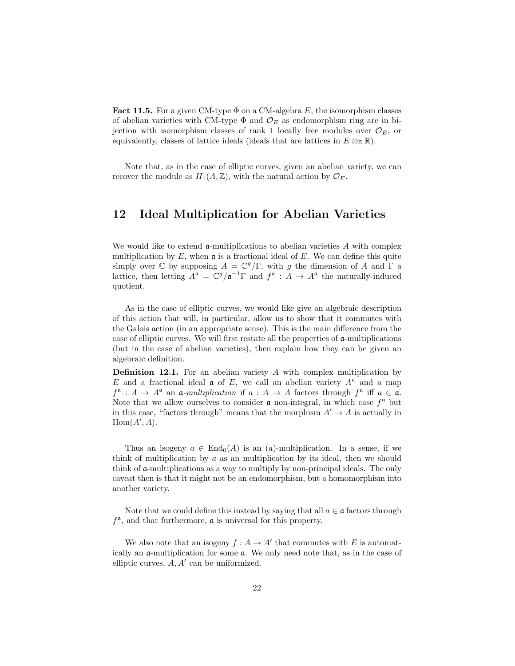**Fact 11.5.** For a given CM-type  $\Phi$  on a CM-algebra E, the isomorphism classes of abelian varieties with CM-type  $\Phi$  and  $\mathcal{O}_E$  as endomorphism ring are in bijection with isomorphism classes of rank 1 locally free modules over  $\mathcal{O}_E$ , or equivalently, classes of lattice ideals (ideals that are lattices in  $E \otimes_{\mathbb{Z}} \mathbb{R}$ ).

Note that, as in the case of elliptic curves, given an abelian variety, we can recover the module as  $H_1(A, \mathbb{Z})$ , with the natural action by  $\mathcal{O}_E$ .

## 12 Ideal Multiplication for Abelian Varieties

We would like to extend  $\alpha$ -multiplications to abelian varieties A with complex multiplication by  $E$ , when  $\mathfrak a$  is a fractional ideal of  $E$ . We can define this quite simply over  $\mathbb C$  by supposing  $A = \mathbb C^g/\Gamma$ , with g the dimension of A and  $\Gamma$  a lattice, then letting  $A^{\mathfrak{a}} = \mathbb{C}^g / \mathfrak{a}^{-1} \Gamma$  and  $f^{\mathfrak{a}} : A \to A^{\mathfrak{a}}$  the naturally-induced quotient.

As in the case of elliptic curves, we would like give an algebraic description of this action that will, in particular, allow us to show that it commutes with the Galois action (in an appropriate sense). This is the main difference from the case of elliptic curves. We will first restate all the properties of a-multiplications (but in the case of abelian varieties), then explain how they can be given an algebraic definition.

**Definition 12.1.** For an abelian variety  $A$  with complex multiplication by E and a fractional ideal  $\mathfrak a$  of E, we call an abelian variety  $A^{\mathfrak a}$  and a map  $f^{\mathfrak{a}}: A \to A^{\mathfrak{a}}$  an  $\mathfrak{a}$ -multiplication if  $a: A \to A$  factors through  $f^{\mathfrak{a}}$  iff  $a \in \mathfrak{a}$ . Note that we allow ourselves to consider  $\mathfrak a$  non-integral, in which case  $f^{\mathfrak a}$  but in this case, "factors through" means that the morphism  $A' \to A$  is actually in  $Hom(A', A)$ .

Thus an isogeny  $a \in \text{End}_0(A)$  is an  $(a)$ -multiplication. In a sense, if we think of multiplication by a as an multiplication by its ideal, then we should think of a-multiplications as a way to multiply by non-principal ideals. The only caveat then is that it might not be an endomorphism, but a homomorphism into another variety.

Note that we could define this instead by saying that all  $a \in \mathfrak{a}$  factors through  $f^{\mathfrak{a}}$ , and that furthermore,  $\mathfrak{a}$  is universal for this property.

We also note that an isogeny  $f : A \to A'$  that commutes with E is automatically an a-multiplication for some a. We only need note that, as in the case of elliptic curves,  $A, A'$  can be uniformized.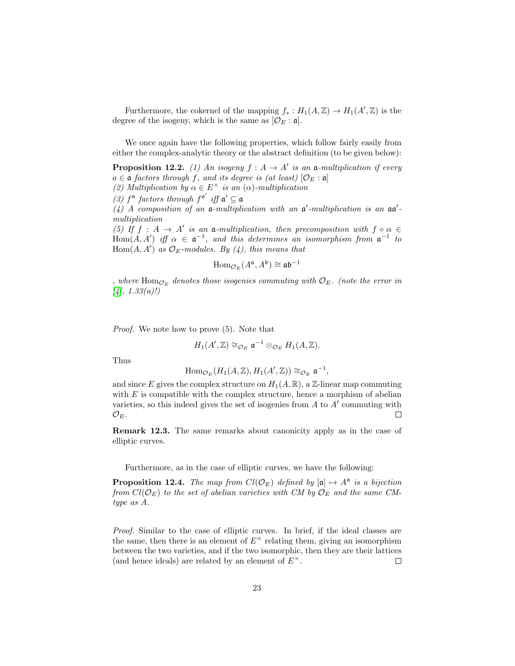Furthermore, the cokernel of the mapping  $f_* : H_1(A, \mathbb{Z}) \to H_1(A', \mathbb{Z})$  is the degree of the isogeny, which is the same as  $[O<sub>E</sub>: \mathfrak{a}]$ .

We once again have the following properties, which follow fairly easily from either the complex-analytic theory or the abstract definition (to be given below):

<span id="page-22-0"></span>**Proposition 12.2.** (1) An isogeny  $f : A \rightarrow A'$  is an a-multiplication if every  $a \in \mathfrak{a}$  factors through f, and its degree is (at least)  $[\mathcal{O}_E : \mathfrak{a}]$ 

(2) Multiplication by  $\alpha \in E^{\times}$  is an  $(\alpha)$ -multiplication

(3)  $f^{\mathfrak{a}}$  factors through  $f^{\mathfrak{a}'}$  iff  $\mathfrak{a}' \subseteq \mathfrak{a}$ 

(4) A composition of an  $\mathfrak a$ -multiplication with an  $\mathfrak a'$ -multiplication is an  $\mathfrak a\mathfrak a'$ multiplication

(5) If  $f : A \to A'$  is an a-multiplication, then precomposition with  $f \circ \alpha \in$ Hom $(A, A')$  iff  $\alpha \in \mathfrak{a}^{-1}$ , and this determines an isomorphism from  $\mathfrak{a}^{-1}$  to  $Hom(A, A')$  as  $\mathcal{O}_E$ -modules. By (4), this means that

$$
\operatorname{Hom}_{\mathcal{O}_E}(A^{\mathfrak{a}}, A^{\mathfrak{b}}) \cong \mathfrak{a} \mathfrak{b}^{-1}
$$

, where  $\text{Hom}_{\mathcal{O}_E}$  denotes those isogenies commuting with  $\mathcal{O}_E$ . (note the error in  $[4]$ , 1.33(a)!)

Proof. We note how to prove  $(5)$ . Note that

 $H_1(A',\mathbb{Z}) \cong_{\mathcal{O}_E} \mathfrak{a}^{-1} \otimes_{\mathcal{O}_E} H_1(A,\mathbb{Z}).$ 

Thus

$$
\mathrm{Hom}_{\mathcal{O}_E}(H_1(A,\mathbb{Z}),H_1(A',\mathbb{Z}))\cong_{\mathcal{O}_E}\mathfrak{a}^{-1},
$$

and since E gives the complex structure on  $H_1(A, \mathbb{R})$ , a Z-linear map commuting with  $E$  is compatible with the complex structure, hence a morphism of abelian varieties, so this indeed gives the set of isogenies from  $A$  to  $A'$  commuting with  $\mathcal{O}_E$ .  $\Box$ 

Remark 12.3. The same remarks about canonicity apply as in the case of elliptic curves.

Furthermore, as in the case of elliptic curves, we have the following:

**Proposition 12.4.** The map from  $Cl(\mathcal{O}_E)$  defined by  $[\mathfrak{a}] \mapsto A^{\mathfrak{a}}$  is a bijection from  $Cl(\mathcal{O}_E)$  to the set of abelian varieties with CM by  $\mathcal{O}_E$  and the same CMtype as A.

Proof. Similar to the case of elliptic curves. In brief, if the ideal classes are the same, then there is an element of  $E^{\times}$  relating them, giving an isomorphism between the two varieties, and if the two isomorphic, then they are their lattices (and hence ideals) are related by an element of  $E^{\times}$ .  $\Box$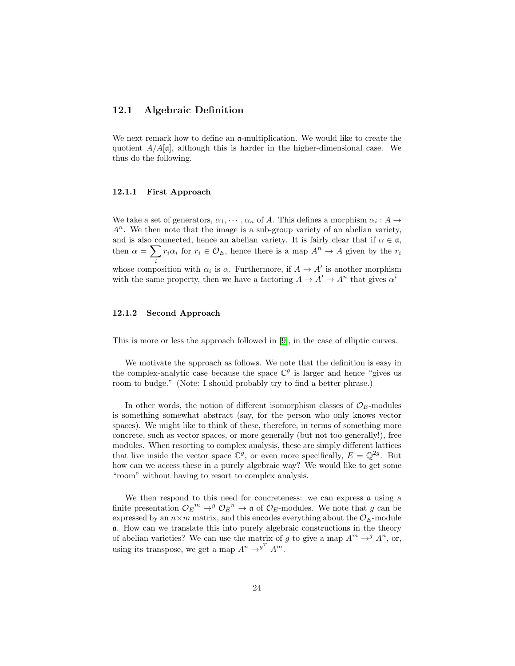### 12.1 Algebraic Definition

We next remark how to define an  $\mathfrak{a}$ -multiplication. We would like to create the quotient  $A/A[\mathfrak{a}]$ , although this is harder in the higher-dimensional case. We thus do the following.

#### 12.1.1 First Approach

We take a set of generators,  $\alpha_1, \cdots, \alpha_n$  of A. This defines a morphism  $\alpha_i : A \rightarrow$  $A<sup>n</sup>$ . We then note that the image is a sub-group variety of an abelian variety, and is also connected, hence an abelian variety. It is fairly clear that if  $\alpha \in \mathfrak{a}$ , then  $\alpha = \sum r_i \alpha_i$  for  $r_i \in \mathcal{O}_E$ , hence there is a map  $A^n \to A$  given by the  $r_i$ whose composition with  $\alpha_i$  is  $\alpha$ . Furthermore, if  $A \to A'$  is another morphism with the same property, then we have a factoring  $A \to A' \to A^n$  that gives  $\alpha^i$ 

#### 12.1.2 Second Approach

This is more or less the approach followed in [\[9\]](#page-36-0), in the case of elliptic curves.

We motivate the approach as follows. We note that the definition is easy in the complex-analytic case because the space  $\mathbb{C}^g$  is larger and hence "gives us room to budge." (Note: I should probably try to find a better phrase.)

In other words, the notion of different isomorphism classes of  $\mathcal{O}_E$ -modules is something somewhat abstract (say, for the person who only knows vector spaces). We might like to think of these, therefore, in terms of something more concrete, such as vector spaces, or more generally (but not too generally!), free modules. When resorting to complex analysis, these are simply different lattices that live inside the vector space  $\mathbb{C}^g$ , or even more specifically,  $E = \mathbb{Q}^{2g}$ . But how can we access these in a purely algebraic way? We would like to get some "room" without having to resort to complex analysis.

We then respond to this need for concreteness: we can express  $a$  using a finite presentation  $\mathcal{O}_E^m \to^g \mathcal{O}_E^n \to \mathfrak{a}$  of  $\mathcal{O}_E$ -modules. We note that g can be expressed by an  $n \times m$  matrix, and this encodes everything about the  $\mathcal{O}_E$ -module a. How can we translate this into purely algebraic constructions in the theory of abelian varieties? We can use the matrix of g to give a map  $A^m \rightarrow^g A^n$ , or, using its transpose, we get a map  $A^n \rightarrow^{g} A^m$ .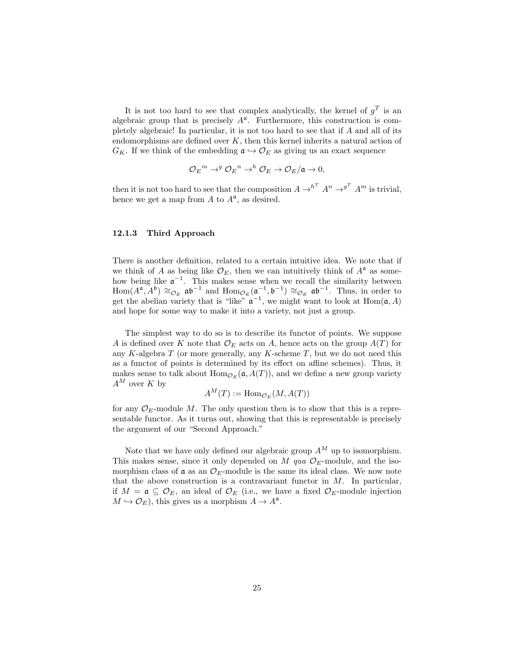It is not too hard to see that complex analytically, the kernel of  $g<sup>T</sup>$  is an algebraic group that is precisely  $A^{\mathfrak{a}}$ . Furthermore, this construction is completely algebraic! In particular, it is not too hard to see that if A and all of its endomorphisms are defined over  $K$ , then this kernel inherits a natural action of  $G_K$ . If we think of the embedding  $\mathfrak{a} \hookrightarrow \mathcal{O}_E$  as giving us an exact sequence

$$
\mathcal{O}_E{}^m \to^g \mathcal{O}_E{}^n \to^h \mathcal{O}_E \to \mathcal{O}_E/\mathfrak{a} \to 0,
$$

then it is not too hard to see that the composition  $A \rightarrow^{h^T} A^n \rightarrow^{g^T} A^m$  is trivial, hence we get a map from  $A$  to  $A^{\mathfrak{a}}$ , as desired.

#### 12.1.3 Third Approach

There is another definition, related to a certain intuitive idea. We note that if we think of A as being like  $\mathcal{O}_E$ , then we can intuitively think of  $A^{\mathfrak{a}}$  as somehow being like  $\mathfrak{a}^{-1}$ . This makes sense when we recall the similarity between  $\text{Hom}(A^{\mathfrak{a}}, \tilde{A}^{\mathfrak{b}}) \cong_{\mathcal{O}_E} \mathfrak{a} \mathfrak{b}^{-1}$  and  $\text{Hom}_{\mathcal{O}_E}(\mathfrak{a}^{-1}, \mathfrak{b}^{-1}) \cong_{\mathcal{O}_E} \mathfrak{a} \mathfrak{b}^{-1}$ . Thus, in order to get the abelian variety that is "like"  $\mathfrak{a}^{-1}$ , we might want to look at Hom $(\mathfrak{a}, A)$ and hope for some way to make it into a variety, not just a group.

The simplest way to do so is to describe its functor of points. We suppose A is defined over K note that  $\mathcal{O}_E$  acts on A, hence acts on the group  $A(T)$  for any K-algebra  $T$  (or more generally, any K-scheme  $T$ , but we do not need this as a functor of points is determined by its effect on affine schemes). Thus, it makes sense to talk about  $\text{Hom}_{\mathcal{O}_E}(\mathfrak{a}, A(T))$ , and we define a new group variety  $A^M$  over K by

$$
A^M(T) := \mathrm{Hom}_{\mathcal{O}_E}(M, A(T))
$$

for any  $\mathcal{O}_E$ -module M. The only question then is to show that this is a representable functor. As it turns out, showing that this is representable is precisely the argument of our "Second Approach."

Note that we have only defined our algebraic group  $A^M$  up to isomorphism. This makes sense, since it only depended on M qua  $\mathcal{O}_E$ -module, and the isomorphism class of  $\mathfrak a$  as an  $\mathcal O_E$ -module is the same its ideal class. We now note that the above construction is a contravariant functor in  $M$ . In particular, if  $M = \mathfrak{a} \subseteq \mathcal{O}_E$ , an ideal of  $\mathcal{O}_E$  (i.e., we have a fixed  $\mathcal{O}_E$ -module injection  $M \hookrightarrow \mathcal{O}_E$ , this gives us a morphism  $A \to A^{\mathfrak{a}}$ .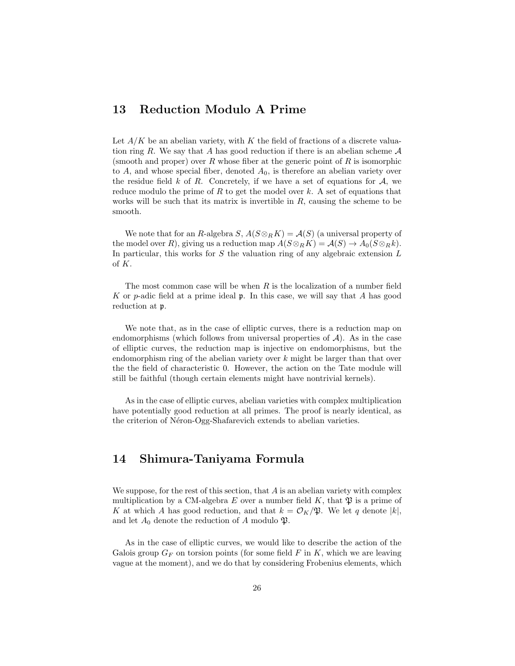# 13 Reduction Modulo A Prime

Let  $A/K$  be an abelian variety, with K the field of fractions of a discrete valuation ring R. We say that A has good reduction if there is an abelian scheme  $A$ (smooth and proper) over R whose fiber at the generic point of R is isomorphic to A, and whose special fiber, denoted  $A_0$ , is therefore an abelian variety over the residue field k of R. Concretely, if we have a set of equations for  $A$ , we reduce modulo the prime of  $R$  to get the model over  $k$ . A set of equations that works will be such that its matrix is invertible in  $R$ , causing the scheme to be smooth.

We note that for an R-algebra  $S, A(S \otimes_R K) = A(S)$  (a universal property of the model over R), giving us a reduction map  $A(S \otimes_R K) = A(S) \rightarrow A_0(S \otimes_R k)$ . In particular, this works for  $S$  the valuation ring of any algebraic extension  $L$ of K.

The most common case will be when  $R$  is the localization of a number field K or p-adic field at a prime ideal  $\mathfrak p$ . In this case, we will say that A has good reduction at p.

We note that, as in the case of elliptic curves, there is a reduction map on endomorphisms (which follows from universal properties of  $A$ ). As in the case of elliptic curves, the reduction map is injective on endomorphisms, but the endomorphism ring of the abelian variety over  $k$  might be larger than that over the the field of characteristic 0. However, the action on the Tate module will still be faithful (though certain elements might have nontrivial kernels).

As in the case of elliptic curves, abelian varieties with complex multiplication have potentially good reduction at all primes. The proof is nearly identical, as the criterion of Néron-Ogg-Shafarevich extends to abelian varieties.

# <span id="page-25-0"></span>14 Shimura-Taniyama Formula

We suppose, for the rest of this section, that  $A$  is an abelian variety with complex multiplication by a CM-algebra E over a number field  $K$ , that  $\mathfrak{P}$  is a prime of K at which A has good reduction, and that  $k = \mathcal{O}_K/\mathfrak{P}$ . We let q denote  $|k|$ , and let  $A_0$  denote the reduction of A modulo  $\mathfrak{P}.$ 

As in the case of elliptic curves, we would like to describe the action of the Galois group  $G_F$  on torsion points (for some field F in K, which we are leaving vague at the moment), and we do that by considering Frobenius elements, which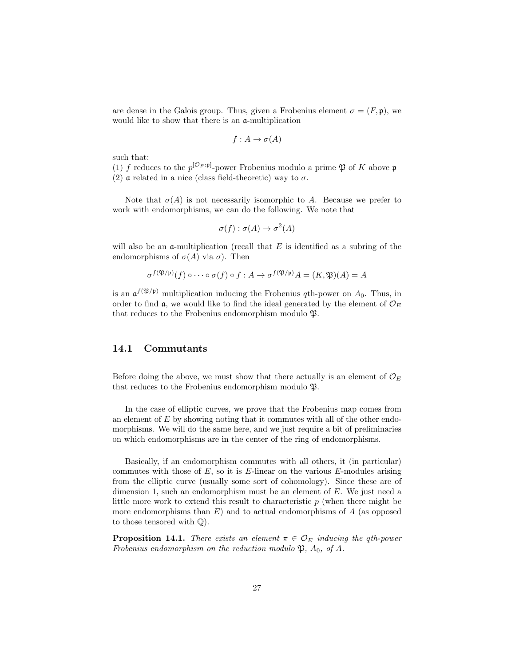are dense in the Galois group. Thus, given a Frobenius element  $\sigma = (F, \mathfrak{p})$ , we would like to show that there is an a-multiplication

$$
f: A \to \sigma(A)
$$

such that:

(1) f reduces to the  $p^{[O_F:p]}$ -power Frobenius modulo a prime  $\mathfrak P$  of K above p (2)  $\alpha$  related in a nice (class field-theoretic) way to  $\sigma$ .

Note that  $\sigma(A)$  is not necessarily isomorphic to A. Because we prefer to work with endomorphisms, we can do the following. We note that

$$
\sigma(f) : \sigma(A) \to \sigma^2(A)
$$

will also be an  $\alpha$ -multiplication (recall that E is identified as a subring of the endomorphisms of  $\sigma(A)$  via  $\sigma$ ). Then

$$
\sigma^{f(\mathfrak{P}/\mathfrak{p})}(f)\circ\cdots\circ\sigma(f)\circ f:A\to\sigma^{f(\mathfrak{P}/\mathfrak{p})}A=(K,\mathfrak{P})(A)=A
$$

is an  $\mathfrak{a}^{f(\mathfrak{P}/\mathfrak{p})}$  multiplication inducing the Frobenius qth-power on  $A_0$ . Thus, in order to find a, we would like to find the ideal generated by the element of  $\mathcal{O}_E$ that reduces to the Frobenius endomorphism modulo  $\mathfrak{P}$ .

### 14.1 Commutants

Before doing the above, we must show that there actually is an element of  $\mathcal{O}_E$ that reduces to the Frobenius endomorphism modulo  $\mathfrak{P}.$ 

In the case of elliptic curves, we prove that the Frobenius map comes from an element of  $E$  by showing noting that it commutes with all of the other endomorphisms. We will do the same here, and we just require a bit of preliminaries on which endomorphisms are in the center of the ring of endomorphisms.

Basically, if an endomorphism commutes with all others, it (in particular) commutes with those of  $E$ , so it is  $E$ -linear on the various  $E$ -modules arising from the elliptic curve (usually some sort of cohomology). Since these are of dimension 1, such an endomorphism must be an element of  $E$ . We just need a little more work to extend this result to characteristic  $p$  (when there might be more endomorphisms than  $E$ ) and to actual endomorphisms of  $A$  (as opposed to those tensored with  $\mathbb{Q}$ ).

<span id="page-26-0"></span>**Proposition 14.1.** There exists an element  $\pi \in \mathcal{O}_E$  inducing the qth-power Frobenius endomorphism on the reduction modulo  $\mathfrak{P}, A_0$ , of A.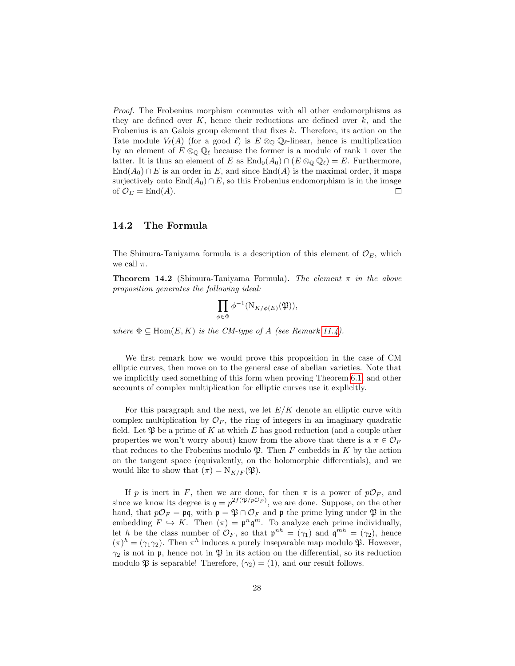Proof. The Frobenius morphism commutes with all other endomorphisms as they are defined over  $K$ , hence their reductions are defined over  $k$ , and the Frobenius is an Galois group element that fixes  $k$ . Therefore, its action on the Tate module  $V_{\ell}(A)$  (for a good  $\ell$ ) is  $E \otimes_{\mathbb{Q}} \mathbb{Q}_{\ell}$ -linear, hence is multiplication by an element of  $E \otimes_{\mathbb{Q}} \mathbb{Q}_{\ell}$  because the former is a module of rank 1 over the latter. It is thus an element of E as  $\text{End}_0(A_0) \cap (E \otimes_{\mathbb{Q}} \mathbb{Q}_\ell) = E$ . Furthermore,  $\text{End}(A_0) \cap E$  is an order in E, and since  $\text{End}(A)$  is the maximal order, it maps surjectively onto  $\text{End}(A_0) \cap E$ , so this Frobenius endomorphism is in the image of  $\mathcal{O}_E = \text{End}(A)$ .  $\Box$ 

### 14.2 The Formula

The Shimura-Taniyama formula is a description of this element of  $\mathcal{O}_E$ , which we call  $\pi$ .

**Theorem 14.2** (Shimura-Taniyama Formula). The element  $\pi$  in the above proposition generates the following ideal:

$$
\prod_{\phi \in \Phi} \phi^{-1}(\mathrm{N}_{K/\phi(E)}(\mathfrak{P})),
$$

where  $\Phi \subseteq \text{Hom}(E, K)$  is the CM-type of A (see Remark [11.4\)](#page-20-0).

We first remark how we would prove this proposition in the case of CM elliptic curves, then move on to the general case of abelian varieties. Note that we implicitly used something of this form when proving Theorem [6.1,](#page-8-0) and other accounts of complex multiplication for elliptic curves use it explicitly.

For this paragraph and the next, we let  $E/K$  denote an elliptic curve with complex multiplication by  $\mathcal{O}_F$ , the ring of integers in an imaginary quadratic field. Let  $\mathfrak P$  be a prime of K at which E has good reduction (and a couple other properties we won't worry about) know from the above that there is a  $\pi \in \mathcal{O}_F$ that reduces to the Frobenius modulo  $\mathfrak{B}$ . Then F embedds in K by the action on the tangent space (equivalently, on the holomorphic differentials), and we would like to show that  $(\pi) = N_{K/F}(\mathfrak{P}).$ 

If p is inert in F, then we are done, for then  $\pi$  is a power of  $p\mathcal{O}_F$ , and since we know its degree is  $q = p^{2f(\mathfrak{P}/p\mathcal{O}_F)}$ , we are done. Suppose, on the other hand, that  $p\mathcal{O}_F = \mathfrak{p}q$ , with  $\mathfrak{p} = \mathfrak{P} \cap \mathcal{O}_F$  and  $\mathfrak{p}$  the prime lying under  $\mathfrak{P}$  in the embedding  $F \hookrightarrow K$ . Then  $(\pi) = \mathfrak{p}^n \mathfrak{q}^m$ . To analyze each prime individually, let h be the class number of  $\mathcal{O}_F$ , so that  $\mathfrak{p}^{nh} = (\gamma_1)$  and  $\mathfrak{q}^{mh} = (\gamma_2)$ , hence  $(\pi)^h = (\gamma_1 \gamma_2)$ . Then  $\pi^h$  induces a purely inseparable map modulo  $\mathfrak{P}$ . However,  $\gamma_2$  is not in p, hence not in  $\mathfrak P$  in its action on the differential, so its reduction modulo  $\mathfrak P$  is separable! Therefore,  $(\gamma_2) = (1)$ , and our result follows.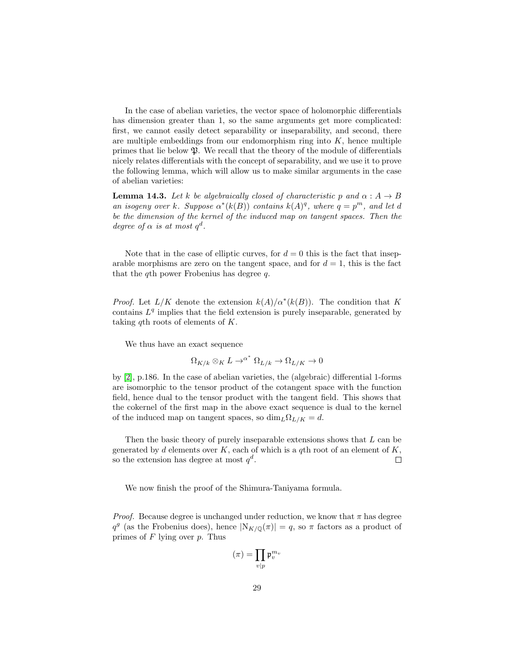In the case of abelian varieties, the vector space of holomorphic differentials has dimension greater than 1, so the same arguments get more complicated: first, we cannot easily detect separability or inseparability, and second, there are multiple embeddings from our endomorphism ring into  $K$ , hence multiple primes that lie below  $\mathfrak{P}$ . We recall that the theory of the module of differentials nicely relates differentials with the concept of separability, and we use it to prove the following lemma, which will allow us to make similar arguments in the case of abelian varieties:

<span id="page-28-0"></span>**Lemma 14.3.** Let k be algebraically closed of characteristic p and  $\alpha : A \rightarrow B$ an isogeny over k. Suppose  $\alpha^*(k(B))$  contains  $k(A)^q$ , where  $q = p^m$ , and let d be the dimension of the kernel of the induced map on tangent spaces. Then the degree of  $\alpha$  is at most  $q^d$ .

Note that in the case of elliptic curves, for  $d = 0$  this is the fact that inseparable morphisms are zero on the tangent space, and for  $d = 1$ , this is the fact that the qth power Frobenius has degree q.

*Proof.* Let  $L/K$  denote the extension  $k(A)/\alpha^*(k(B))$ . The condition that K contains  $L<sup>q</sup>$  implies that the field extension is purely inseparable, generated by taking qth roots of elements of  $K$ .

We thus have an exact sequence

$$
\Omega_{K/k} \otimes_K L \to^{\alpha^*} \Omega_{L/k} \to \Omega_{L/K} \to 0
$$

by [\[2\]](#page-35-2), p.186. In the case of abelian varieties, the (algebraic) differential 1-forms are isomorphic to the tensor product of the cotangent space with the function field, hence dual to the tensor product with the tangent field. This shows that the cokernel of the first map in the above exact sequence is dual to the kernel of the induced map on tangent spaces, so  $\dim_L \Omega_{L/K} = d$ .

Then the basic theory of purely inseparable extensions shows that  $L$  can be generated by d elements over K, each of which is a qth root of an element of K, so the extension has degree at most  $q^d$ .  $\Box$ 

We now finish the proof of the Shimura-Taniyama formula.

*Proof.* Because degree is unchanged under reduction, we know that  $\pi$  has degree  $q^g$  (as the Frobenius does), hence  $|N_{K/\mathbb{Q}}(\pi)| = q$ , so  $\pi$  factors as a product of primes of  $F$  lying over  $p$ . Thus

$$
(\pi) = \prod_{v \mid p} \mathfrak{p}_v^{m_v}
$$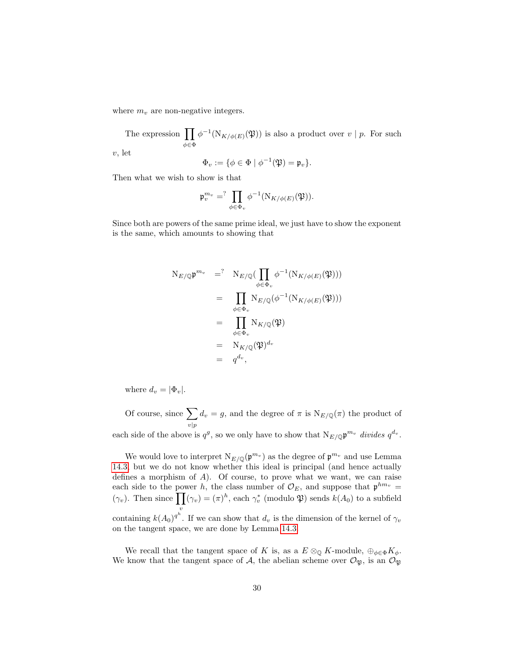where  $m_v$  are non-negative integers.

The expression  $\prod$ φ∈Φ  $\phi^{-1}(N_{K/\phi(E)}(\mathfrak{P}))$  is also a product over  $v \mid p$ . For such

v, let

$$
\Phi_v := \{ \phi \in \Phi \mid \phi^{-1}(\mathfrak{P}) = \mathfrak{p}_v \}.
$$

Then what we wish to show is that

$$
\mathfrak{p}_v^{m_v} = \prod_{\phi \in \Phi_v} \phi^{-1}(\mathrm{N}_{K/\phi(E)}(\mathfrak{P})).
$$

Since both are powers of the same prime ideal, we just have to show the exponent is the same, which amounts to showing that

$$
N_{E/\mathbb{Q}} \mathfrak{p}^{m_v} = N_{E/\mathbb{Q}} \left( \prod_{\phi \in \Phi_v} \phi^{-1}(N_{K/\phi(E)}(\mathfrak{P})) \right)
$$
  
\n
$$
= \prod_{\phi \in \Phi_v} N_{E/\mathbb{Q}}(\phi^{-1}(N_{K/\phi(E)}(\mathfrak{P})))
$$
  
\n
$$
= \prod_{\phi \in \Phi_v} N_{K/\mathbb{Q}}(\mathfrak{P})
$$
  
\n
$$
= N_{K/\mathbb{Q}}(\mathfrak{P})^{d_v}
$$
  
\n
$$
= q^{d_v},
$$

where  $d_v = |\Phi_v|$ .

Of course, since  $\sum$  $v|p$  $d_v = g$ , and the degree of  $\pi$  is  $N_{E/\mathbb{Q}}(\pi)$  the product of each side of the above is  $q^g$ , so we only have to show that  $N_{E/\mathbb{Q}} \mathfrak{p}^{m_v}$  divides  $q^{d_v}$ .

We would love to interpret  $N_{E/\mathbb{Q}}(\mathfrak{p}^{m_v})$  as the degree of  $\mathfrak{p}^{m_v}$  and use Lemma [14.3,](#page-28-0) but we do not know whether this ideal is principal (and hence actually defines a morphism of A). Of course, to prove what we want, we can raise each side to the power h, the class number of  $\mathcal{O}_E$ , and suppose that  $p^{hm_v} =$  $(\gamma_v)$ . Then since  $\prod_{v}(\gamma_v) = (\pi)^h$ , each  $\gamma_v^*$  (modulo  $\mathfrak{P}$ ) sends  $k(A_0)$  to a subfield v containing  $k(A_0)^{q^h}$ . If we can show that  $d_v$  is the dimension of the kernel of  $\gamma_v$ on the tangent space, we are done by Lemma [14.3.](#page-28-0)

We recall that the tangent space of K is, as a  $E \otimes_{\mathbb{Q}} K$ -module,  $\oplus_{\phi \in \Phi} K_{\phi}$ . We know that the tangent space of A, the abelian scheme over  $\mathcal{O}_{\mathfrak{P}}$ , is an  $\mathcal{O}_{\mathfrak{P}}$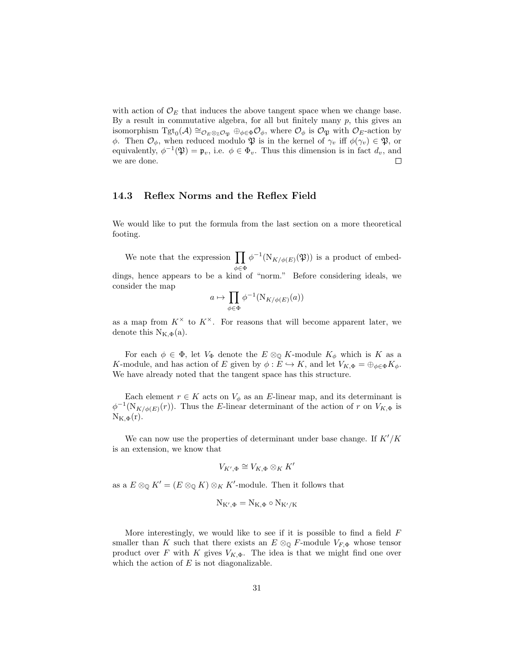with action of  $\mathcal{O}_E$  that induces the above tangent space when we change base. By a result in commutative algebra, for all but finitely many  $p$ , this gives an isomorphism  $Tgt_0(\mathcal{A}) \cong_{\mathcal{O}_E \otimes_{\mathbb{Z}} \mathcal{O}_{\mathfrak{P}}} \oplus_{\phi \in \Phi} \mathcal{O}_{\phi}$ , where  $\mathcal{O}_{\phi}$  is  $\mathcal{O}_{\mathfrak{P}}$  with  $\mathcal{O}_E$ -action by φ. Then  $\mathcal{O}_{\phi}$ , when reduced modulo  $\mathfrak{P}$  is in the kernel of  $\gamma_v$  iff  $\phi(\gamma_v) \in \mathfrak{P}$ , or equivalently,  $\phi^{-1}(\mathfrak{P}) = \mathfrak{p}_v$ , i.e.  $\phi \in \Phi_v$ . Thus this dimension is in fact  $d_v$ , and we are done.  $\Box$ 

### 14.3 Reflex Norms and the Reflex Field

We would like to put the formula from the last section on a more theoretical footing.

We note that the expression  $\prod_{\phi} \phi^{-1}(N_{K/\phi(E)}(\mathfrak{P}))$  is a product of embedφ∈Φ dings, hence appears to be a kind of "norm." Before considering ideals, we consider the map

$$
a \mapsto \prod_{\phi \in \Phi} \phi^{-1}(\mathrm{N}_{K/\phi(E)}(a))
$$

as a map from  $K^{\times}$  to  $K^{\times}$ . For reasons that will become apparent later, we denote this  $N_{K,\Phi}(a)$ .

For each  $\phi \in \Phi$ , let  $V_{\Phi}$  denote the  $E \otimes_{\mathbb{Q}} K$ -module  $K_{\phi}$  which is K as a K-module, and has action of E given by  $\phi: E \hookrightarrow K$ , and let  $V_{K,\Phi} = \bigoplus_{\phi \in \Phi} K_{\phi}$ . We have already noted that the tangent space has this structure.

Each element  $r \in K$  acts on  $V_{\phi}$  as an E-linear map, and its determinant is  $\phi^{-1}(N_{K/\phi(E)}(r))$ . Thus the E-linear determinant of the action of r on  $V_{K,\Phi}$  is  $N_{K,\Phi}(r)$ .

We can now use the properties of determinant under base change. If  $K'/K$ is an extension, we know that

$$
V_{K',\Phi}\cong V_{K,\Phi}\otimes_K K'
$$

as a  $E \otimes_{\mathbb{Q}} K' = (E \otimes_{\mathbb{Q}} K) \otimes_K K'$ -module. Then it follows that

$$
N_{K',\Phi}=N_{K,\Phi}\circ N_{K'/K}
$$

More interestingly, we would like to see if it is possible to find a field  $F$ smaller than K such that there exists an  $E \otimes_{\mathbb{Q}} F$ -module  $V_{F,\Phi}$  whose tensor product over F with K gives  $V_{K,\Phi}$ . The idea is that we might find one over which the action of  $E$  is not diagonalizable.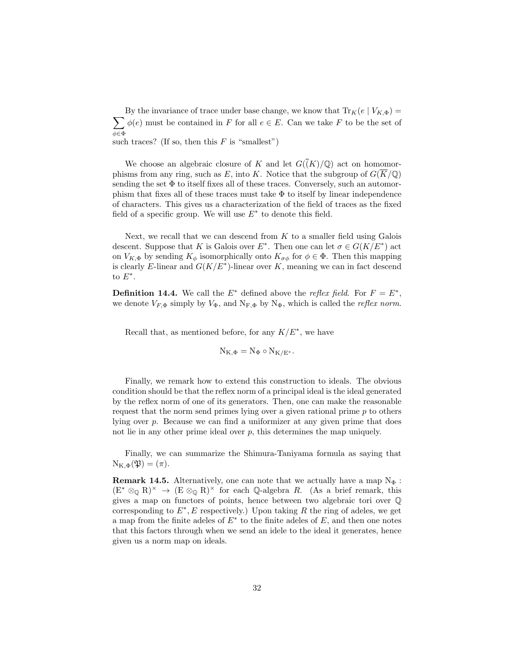$\sum$ By the invariance of trace under base change, we know that  $\text{Tr}_K(e | V_{K,\Phi}) =$ φ∈Φ  $\phi(e)$  must be contained in F for all  $e \in E$ . Can we take F to be the set of such traces? (If so, then this  $F$  is "smallest")

We choose an algebraic closure of K and let  $G(\bar(K)/\mathbb{Q})$  act on homomorphisms from any ring, such as E, into K. Notice that the subgroup of  $G(\overline{K}/\mathbb{Q})$ sending the set  $\Phi$  to itself fixes all of these traces. Conversely, such an automorphism that fixes all of these traces must take  $\Phi$  to itself by linear independence of characters. This gives us a characterization of the field of traces as the fixed field of a specific group. We will use  $E^*$  to denote this field.

Next, we recall that we can descend from  $K$  to a smaller field using Galois descent. Suppose that K is Galois over  $E^*$ . Then one can let  $\sigma \in G(K/E^*)$  act on  $V_{K,\Phi}$  by sending  $K_{\phi}$  isomorphically onto  $K_{\sigma\phi}$  for  $\phi \in \Phi$ . Then this mapping is clearly E-linear and  $G(K/E^*)$ -linear over K, meaning we can in fact descend to  $E^*$ .

**Definition 14.4.** We call the  $E^*$  defined above the *reflex field*. For  $F = E^*$ , we denote  $V_{F,\Phi}$  simply by  $V_{\Phi}$ , and  $N_{F,\Phi}$  by  $N_{\Phi}$ , which is called the *reflex norm*.

Recall that, as mentioned before, for any  $K/E^*$ , we have

$$
N_{K,\Phi}=N_{\Phi}\circ N_{K/E^*}.
$$

Finally, we remark how to extend this construction to ideals. The obvious condition should be that the reflex norm of a principal ideal is the ideal generated by the reflex norm of one of its generators. Then, one can make the reasonable request that the norm send primes lying over a given rational prime  $p$  to others lying over p. Because we can find a uniformizer at any given prime that does not lie in any other prime ideal over  $p$ , this determines the map uniquely.

Finally, we can summarize the Shimura-Taniyama formula as saying that  $N_{K,\Phi}(\mathfrak{P}) = (\pi).$ 

**Remark 14.5.** Alternatively, one can note that we actually have a map  $N_{\Phi}$ :  $(E^* \otimes_{\mathbb{Q}} R)^{\times} \to (E \otimes_{\mathbb{Q}} R)^{\times}$  for each  $\mathbb{Q}$ -algebra R. (As a brief remark, this gives a map on functors of points, hence between two algebraic tori over Q corresponding to  $E^*$ , E respectively.) Upon taking R the ring of adeles, we get a map from the finite adeles of  $E^*$  to the finite adeles of  $E$ , and then one notes that this factors through when we send an idele to the ideal it generates, hence given us a norm map on ideals.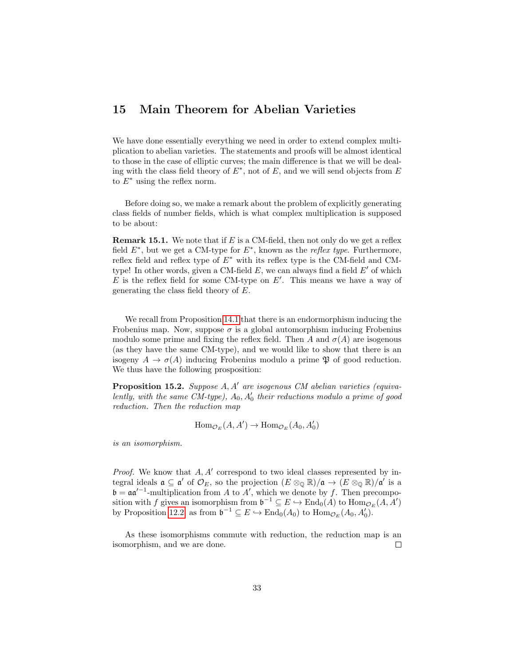## 15 Main Theorem for Abelian Varieties

We have done essentially everything we need in order to extend complex multiplication to abelian varieties. The statements and proofs will be almost identical to those in the case of elliptic curves; the main difference is that we will be dealing with the class field theory of  $E^*$ , not of  $E$ , and we will send objects from  $E$ to  $E^*$  using the reflex norm.

Before doing so, we make a remark about the problem of explicitly generating class fields of number fields, which is what complex multiplication is supposed to be about:

**Remark 15.1.** We note that if  $E$  is a CM-field, then not only do we get a reflex field  $E^*$ , but we get a CM-type for  $E^*$ , known as the *reflex type*. Furthermore, reflex field and reflex type of  $E^*$  with its reflex type is the CM-field and CMtype! In other words, given a CM-field  $E$ , we can always find a field  $E'$  of which  $E$  is the reflex field for some CM-type on  $E'$ . This means we have a way of generating the class field theory of E.

We recall from Proposition [14.1](#page-26-0) that there is an endormorphism inducing the Frobenius map. Now, suppose  $\sigma$  is a global automorphism inducing Frobenius modulo some prime and fixing the reflex field. Then A and  $\sigma(A)$  are isogenous (as they have the same CM-type), and we would like to show that there is an isogeny  $A \to \sigma(A)$  inducing Frobenius modulo a prime  $\mathfrak P$  of good reduction. We thus have the following prosposition:

<span id="page-32-0"></span>**Proposition 15.2.** Suppose  $A, A'$  are isogenous CM abelian varieties (equivalently, with the same CM-type),  $A_0$ ,  $A'_0$  their reductions modulo a prime of good reduction. Then the reduction map

$$
\text{Hom}_{\mathcal{O}_E}(A, A') \to \text{Hom}_{\mathcal{O}_E}(A_0, A'_0)
$$

is an isomorphism.

*Proof.* We know that  $A, A'$  correspond to two ideal classes represented by integral ideals  $\mathfrak{a} \subseteq \mathfrak{a}'$  of  $\mathcal{O}_E$ , so the projection  $(E \otimes_{\mathbb{Q}} \mathbb{R})/\mathfrak{a} \to (E \otimes_{\mathbb{Q}} \mathbb{R})/\mathfrak{a}'$  is a  $\mathfrak{b} = \mathfrak{a} \mathfrak{a}'^{-1}$ -multiplication from A to A', which we denote by f. Then precomposition with f gives an isomorphism from  $\mathfrak{b}^{-1} \subseteq E \hookrightarrow \text{End}_{0}(A)$  to  $\text{Hom}_{\mathcal{O}_{E}}(A, A')$ by Proposition [12.2,](#page-22-0) as from  $\mathfrak{b}^{-1} \subseteq E \hookrightarrow \text{End}_{0}(A_{0})$  to  $\text{Hom}_{\mathcal{O}_{E}}(A_{0}, A_{0}')$ .

As these isomorphisms commute with reduction, the reduction map is an isomorphism, and we are done.  $\Box$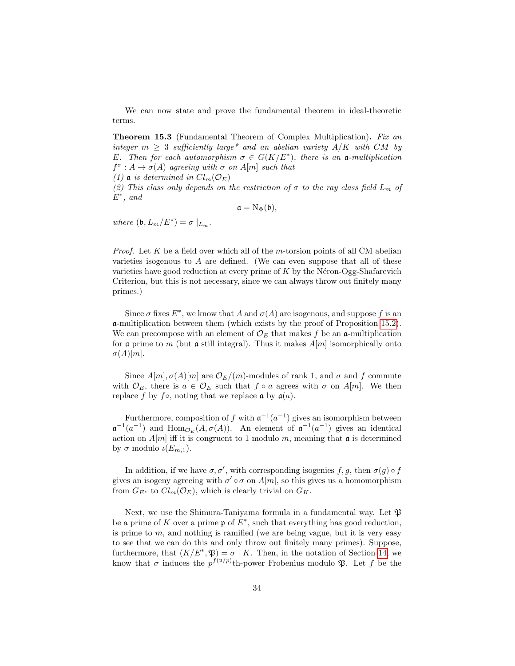We can now state and prove the fundamental theorem in ideal-theoretic terms.

**Theorem 15.3** (Fundamental Theorem of Complex Multiplication). Fix an integer  $m \geq 3$  sufficiently large\* and an abelian variety  $A/K$  with CM by E. Then for each automorphism  $\sigma \in G(\overline{K}/E^*)$ , there is an a-multiplication  $f^{\sigma}: A \to \sigma(A)$  agreeing with  $\sigma$  on  $A[m]$  such that

(1) a is determined in  $Cl_m(\mathcal{O}_E)$ 

(2) This class only depends on the restriction of  $\sigma$  to the ray class field  $L_m$  of  $E^*$ , and

$$
\mathfrak{a}=\mathrm{N}_{\Phi}(\mathfrak{b}),
$$

where  $(\mathfrak{b}, L_m/E^*) = \sigma |_{L_m}$ .

*Proof.* Let K be a field over which all of the m-torsion points of all CM abelian varieties isogenous to  $A$  are defined. (We can even suppose that all of these varieties have good reduction at every prime of K by the N $\epsilon$ ron-Ogg-Shafarevich Criterion, but this is not necessary, since we can always throw out finitely many primes.)

Since  $\sigma$  fixes  $E^*$ , we know that A and  $\sigma(A)$  are isogenous, and suppose f is an a-multiplication between them (which exists by the proof of Proposition [15.2\)](#page-32-0). We can precompose with an element of  $\mathcal{O}_E$  that makes f be an a-multiplication for a prime to m (but a still integral). Thus it makes  $A[m]$  isomorphically onto  $\sigma(A)[m].$ 

Since  $A[m], \sigma(A)[m]$  are  $\mathcal{O}_E/(m)$ -modules of rank 1, and  $\sigma$  and f commute with  $\mathcal{O}_E$ , there is  $a \in \mathcal{O}_E$  such that  $f \circ a$  agrees with  $\sigma$  on  $A[m]$ . We then replace f by f∘, noting that we replace  $\mathfrak{a}$  by  $\mathfrak{a}(a)$ .

Furthermore, composition of f with  $\mathfrak{a}^{-1}(a^{-1})$  gives an isomorphism between  $\mathfrak{a}^{-1}(a^{-1})$  and  $\text{Hom}_{\mathcal{O}_E}(A, \sigma(A))$ . An element of  $\mathfrak{a}^{-1}(a^{-1})$  gives an identical action on  $A[m]$  iff it is congruent to 1 modulo m, meaning that  $\mathfrak a$  is determined by  $\sigma$  modulo  $\iota(E_{m,1})$ .

In addition, if we have  $\sigma, \sigma'$ , with corresponding isogenies f, g, then  $\sigma(g) \circ f$ gives an isogeny agreeing with  $\sigma' \circ \sigma$  on  $A[m]$ , so this gives us a homomorphism from  $G_{E^*}$  to  $Cl_m(\mathcal{O}_E)$ , which is clearly trivial on  $G_K$ .

Next, we use the Shimura-Taniyama formula in a fundamental way. Let  $\mathfrak{B}$ be a prime of K over a prime  $\mathfrak p$  of  $E^*$ , such that everything has good reduction, is prime to  $m$ , and nothing is ramified (we are being vague, but it is very easy to see that we can do this and only throw out finitely many primes). Suppose, furthermore, that  $(K/E^*, \mathfrak{P}) = \sigma | K$ . Then, in the notation of Section [14,](#page-25-0) we know that  $\sigma$  induces the  $p^{f(p/p)}$ th-power Frobenius modulo  $\mathfrak{P}$ . Let f be the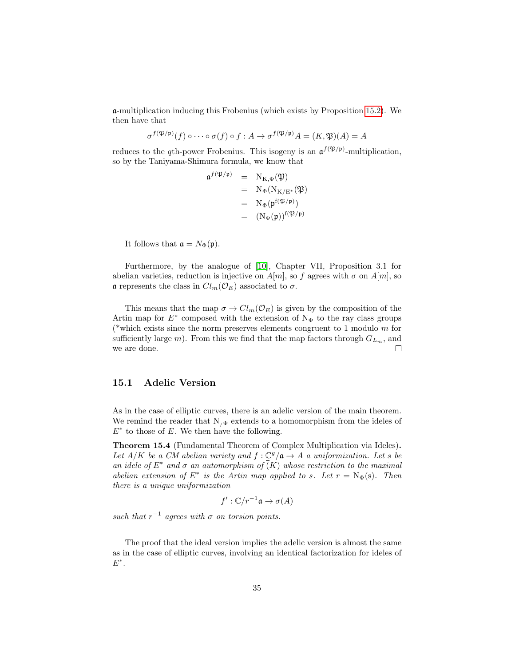a-multiplication inducing this Frobenius (which exists by Proposition [15.2\)](#page-32-0). We then have that

$$
\sigma^{f(\mathfrak{P}/\mathfrak{p})}(f)\circ\cdots\circ\sigma(f)\circ f:A\to\sigma^{f(\mathfrak{P}/\mathfrak{p})}A=(K,\mathfrak{P})(A)=A
$$

reduces to the qth-power Frobenius. This isogeny is an  $\mathfrak{a}^{f(\mathfrak{P}/\mathfrak{p})}$ -multiplication, so by the Taniyama-Shimura formula, we know that

$$
\begin{array}{rcl}\n\mathfrak{a}^{f(\mathfrak{P}/\mathfrak{p})} & = & \mathrm{N}_{\mathrm{K},\Phi}(\mathfrak{P}) \\
& = & \mathrm{N}_{\Phi}(\mathrm{N}_{\mathrm{K}/\mathrm{E}^*}(\mathfrak{P}) \\
& = & \mathrm{N}_{\Phi}(\mathfrak{p}^{\mathrm{f}(\mathfrak{P}/\mathfrak{p})}) \\
& = & \left(\mathrm{N}_{\Phi}(\mathfrak{p})\right)^{\mathrm{f}(\mathfrak{P}/\mathfrak{p})}\n\end{array}
$$

It follows that  $\mathfrak{a} = N_{\Phi}(\mathfrak{p}).$ 

Furthermore, by the analogue of [\[10\]](#page-36-4), Chapter VII, Proposition 3.1 for abelian varieties, reduction is injective on  $A[m]$ , so f agrees with  $\sigma$  on  $A[m]$ , so α represents the class in  $Cl_m(\mathcal{O}_E)$  associated to  $\sigma$ .

This means that the map  $\sigma \to Cl_m(\mathcal{O}_E)$  is given by the composition of the Artin map for  $E^*$  composed with the extension of N<sub>Φ</sub> to the ray class groups (\*which exists since the norm preserves elements congruent to 1 modulo  $m$  for sufficiently large m). From this we find that the map factors through  $G_{L_m}$ , and we are done.

#### 15.1 Adelic Version

As in the case of elliptic curves, there is an adelic version of the main theorem. We remind the reader that  $N_{\phi}$  extends to a homomorphism from the ideles of  $E^*$  to those of E. We then have the following.

Theorem 15.4 (Fundamental Theorem of Complex Multiplication via Ideles). Let  $A/K$  be a CM abelian variety and  $f: \mathbb{C}^g/\mathfrak{a} \to A$  a uniformization. Let s be an idele of  $E^*$  and  $\sigma$  an automorphism of  $\overline{(K)}$  whose restriction to the maximal abelian extension of  $E^*$  is the Artin map applied to s. Let  $r = N_{\Phi}(s)$ . Then there is a unique uniformization

$$
f':\mathbb{C}/r^{-1}\mathfrak{a}\to\sigma(A)
$$

such that  $r^{-1}$  agrees with  $\sigma$  on torsion points.

The proof that the ideal version implies the adelic version is almost the same as in the case of elliptic curves, involving an identical factorization for ideles of  $E^*$ .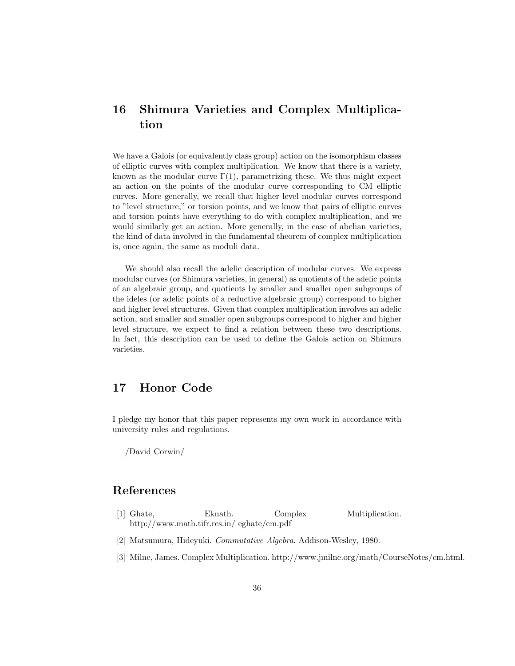# 16 Shimura Varieties and Complex Multiplication

We have a Galois (or equivalently class group) action on the isomorphism classes of elliptic curves with complex multiplication. We know that there is a variety, known as the modular curve  $\Gamma(1)$ , parametrizing these. We thus might expect an action on the points of the modular curve corresponding to CM elliptic curves. More generally, we recall that higher level modular curves correspond to "level structure," or torsion points, and we know that pairs of elliptic curves and torsion points have everything to do with complex multiplication, and we would similarly get an action. More generally, in the case of abelian varieties, the kind of data involved in the fundamental theorem of complex multiplication is, once again, the same as moduli data.

We should also recall the adelic description of modular curves. We express modular curves (or Shimura varieties, in general) as quotients of the adelic points of an algebraic group, and quotients by smaller and smaller open subgroups of the ideles (or adelic points of a reductive algebraic group) correspond to higher and higher level structures. Given that complex multiplication involves an adelic action, and smaller and smaller open subgroups correspond to higher and higher level structure, we expect to find a relation between these two descriptions. In fact, this description can be used to define the Galois action on Shimura varieties.

# 17 Honor Code

I pledge my honor that this paper represents my own work in accordance with university rules and regulations.

/David Corwin/

### References

- <span id="page-35-0"></span>[1] Ghate, Eknath. Complex Multiplication. http://www.math.tifr.res.in/ eghate/cm.pdf
- <span id="page-35-2"></span>[2] Matsumura, Hideyuki. Commutative Algebra. Addison-Wesley, 1980.
- <span id="page-35-1"></span>[3] Milne, James. Complex Multiplication. http://www.jmilne.org/math/CourseNotes/cm.html.